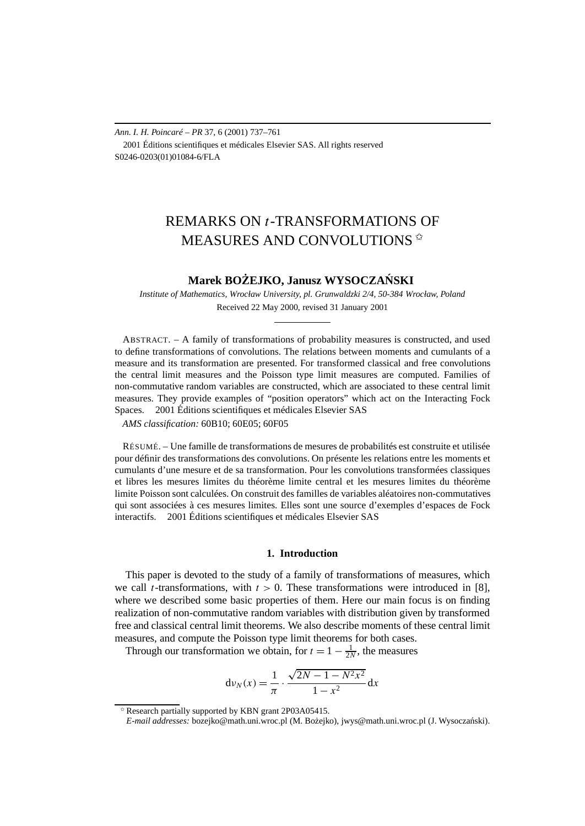*Ann. I. H. Poincaré – PR* 37, 6 (2001) 737–761 2001 Éditions scientifiques et médicales Elsevier SAS. All rights reserved S0246-0203(01)01084-6/FLA

# REMARKS ON *t*-TRANSFORMATIONS OF MEASURES AND CONVOLUTIONS

## $M$ arek BOŻEJKO, Janusz WYSOCZAŃSKI

*Institute of Mathematics, Wrocław University, pl. Grunwaldzki 2/4, 50-384 Wrocław, Poland* Received 22 May 2000, revised 31 January 2001

ABSTRACT. – A family of transformations of probability measures is constructed, and used to define transformations of convolutions. The relations between moments and cumulants of a measure and its transformation are presented. For transformed classical and free convolutions the central limit measures and the Poisson type limit measures are computed. Families of non-commutative random variables are constructed, which are associated to these central limit measures. They provide examples of "position operators" which act on the Interacting Fock Spaces.  $\circ$  2001 Éditions scientifiques et médicales Elsevier SAS

*AMS classification:* 60B10; 60E05; 60F05

RÉSUMÉ. – Une famille de transformations de mesures de probabilités est construite et utilisée pour définir des transformations des convolutions. On présente les relations entre les moments et cumulants d'une mesure et de sa transformation. Pour les convolutions transformées classiques et libres les mesures limites du théorème limite central et les mesures limites du théorème limite Poisson sont calculées. On construit des familles de variables aléatoires non-commutatives qui sont associées à ces mesures limites. Elles sont une source d'exemples d'espaces de Fock interactifs. 2001 Éditions scientifiques et médicales Elsevier SAS

#### **1. Introduction**

This paper is devoted to the study of a family of transformations of measures, which we call *t*-transformations, with  $t > 0$ . These transformations were introduced in [8], where we described some basic properties of them. Here our main focus is on finding realization of non-commutative random variables with distribution given by transformed free and classical central limit theorems. We also describe moments of these central limit measures, and compute the Poisson type limit theorems for both cases.

Through our transformation we obtain, for  $t = 1 - \frac{1}{2N}$ , the measures

$$
d\nu_N(x) = \frac{1}{\pi} \cdot \frac{\sqrt{2N - 1 - N^2 x^2}}{1 - x^2} dx
$$

Research partially supported by KBN grant 2P03A05415.

*E-mail addresses:* bozejko@math.uni.wroc.pl (M. Bo˙zejko), jwys@math.uni.wroc.pl (J. Wysoczanski). ´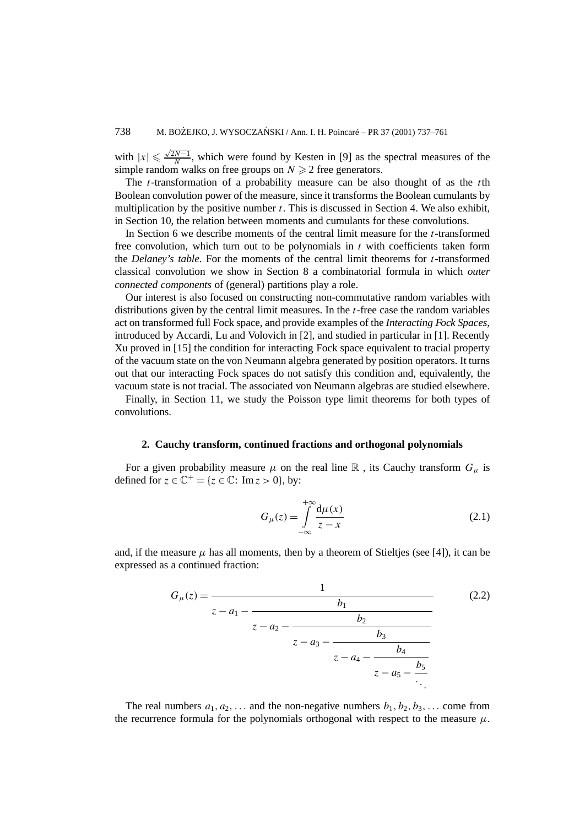with  $|x| \le \frac{\sqrt{2N-1}}{N}$ , which were found by Kesten in [9] as the spectral measures of the simple random walks on free groups on  $N \geq 2$  free generators.

The *t*-transformation of a probability measure can be also thought of as the *t*th Boolean convolution power of the measure, since it transforms the Boolean cumulants by multiplication by the positive number *t*. This is discussed in Section 4. We also exhibit, in Section 10, the relation between moments and cumulants for these convolutions.

In Section 6 we describe moments of the central limit measure for the *t*-transformed free convolution, which turn out to be polynomials in  $t$  with coefficients taken form the *Delaney's table*. For the moments of the central limit theorems for *t*-transformed classical convolution we show in Section 8 a combinatorial formula in which *outer connected components* of (general) partitions play a role.

Our interest is also focused on constructing non-commutative random variables with distributions given by the central limit measures. In the *t*-free case the random variables act on transformed full Fock space, and provide examples of the *Interacting Fock Spaces*, introduced by Accardi, Lu and Volovich in [2], and studied in particular in [1]. Recently Xu proved in [15] the condition for interacting Fock space equivalent to tracial property of the vacuum state on the von Neumann algebra generated by position operators. It turns out that our interacting Fock spaces do not satisfy this condition and, equivalently, the vacuum state is not tracial. The associated von Neumann algebras are studied elsewhere.

Finally, in Section 11, we study the Poisson type limit theorems for both types of convolutions.

## **2. Cauchy transform, continued fractions and orthogonal polynomials**

For a given probability measure  $\mu$  on the real line  $\mathbb R$ , its Cauchy transform  $G_{\mu}$  is defined for  $z \in \mathbb{C}^+ = \{z \in \mathbb{C} : \text{Im } z > 0\}$ , by:

$$
G_{\mu}(z) = \int_{-\infty}^{+\infty} \frac{d\mu(x)}{z - x}
$$
 (2.1)

and, if the measure  $\mu$  has all moments, then by a theorem of Stieltjes (see [4]), it can be expressed as a continued fraction:

$$
G_{\mu}(z) = \cfrac{1}{z - a_1 - \cfrac{b_1}{z - a_2 - \cfrac{b_2}{z - a_3 - \cfrac{b_3}{z - a_4 - \cfrac{b_4}{z - a_5 - \cfrac{b_5}{\ddots}}}}}}\tag{2.2}
$$

The real numbers  $a_1, a_2, \ldots$  and the non-negative numbers  $b_1, b_2, b_3, \ldots$  come from the recurrence formula for the polynomials orthogonal with respect to the measure  $\mu$ .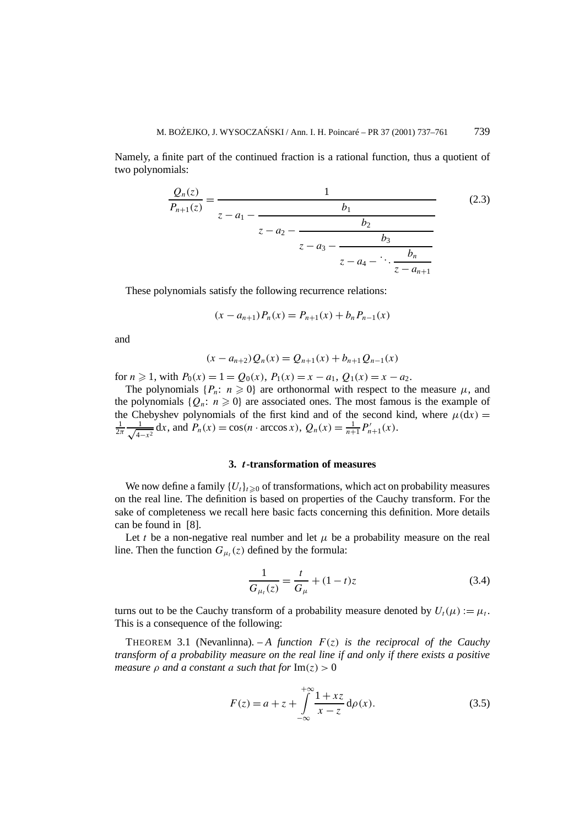Namely, a finite part of the continued fraction is a rational function, thus a quotient of two polynomials:

$$
\frac{Q_n(z)}{P_{n+1}(z)} = \frac{1}{z - a_1 - \frac{b_1}{z - a_2 - \frac{b_2}{z - a_3 - \frac{b_3}{z - a_4 - \ddots \frac{b_n}{z - a_{n+1}}}}}}\tag{2.3}
$$

These polynomials satisfy the following recurrence relations:

$$
(x - a_{n+1})P_n(x) = P_{n+1}(x) + b_n P_{n-1}(x)
$$

and

$$
(x - a_{n+2})Q_n(x) = Q_{n+1}(x) + b_{n+1}Q_{n-1}(x)
$$

for  $n \ge 1$ , with  $P_0(x) = 1 = Q_0(x)$ ,  $P_1(x) = x - a_1$ ,  $Q_1(x) = x - a_2$ .

The polynomials  $\{P_n: n \geq 0\}$  are orthonormal with respect to the measure  $\mu$ , and the polynomials  $\{Q_n: n \geq 0\}$  are associated ones. The most famous is the example of the Chebyshev polynomials of the first kind and of the second kind, where  $\mu(dx)$  =  $\frac{1}{2\pi} \frac{1}{\sqrt{4-x^2}} dx$ , and  $P_n(x) = \cos(n \cdot \arccos x)$ ,  $Q_n(x) = \frac{1}{n+1} P'_{n+1}(x)$ .

#### **3.** *t***-transformation of measures**

We now define a family  ${U_t}_{t\geq0}$  of transformations, which act on probability measures on the real line. The definition is based on properties of the Cauchy transform. For the sake of completeness we recall here basic facts concerning this definition. More details can be found in [8].

Let *t* be a non-negative real number and let  $\mu$  be a probability measure on the real line. Then the function  $G_{\mu t}(z)$  defined by the formula:

$$
\frac{1}{G_{\mu_t}(z)} = \frac{t}{G_{\mu}} + (1 - t)z
$$
\n(3.4)

turns out to be the Cauchy transform of a probability measure denoted by  $U_t(\mu) := \mu_t$ . This is a consequence of the following:

THEOREM 3.1 (Nevanlinna).  $-A$  *function*  $F(z)$  *is the reciprocal of the Cauchy transform of a probability measure on the real line if and only if there exists a positive measure*  $\rho$  *and a constant a such that for*  $\text{Im}(z) > 0$ 

$$
F(z) = a + z + \int_{-\infty}^{+\infty} \frac{1 + xz}{x - z} d\rho(x).
$$
 (3.5)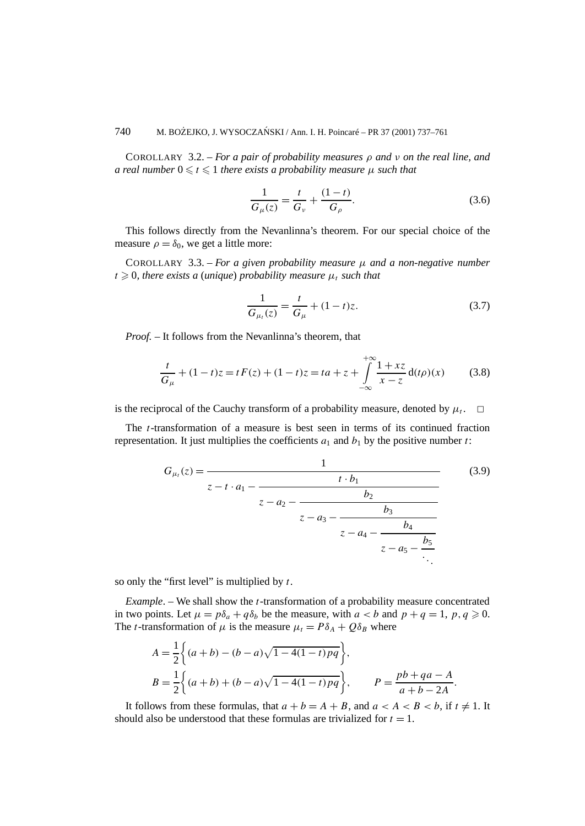COROLLARY 3.2. – *For a pair of probability measures ρ and ν on the real line, and a real number*  $0 \le t \le 1$  *there exists a probability measure*  $\mu$  *such that* 

$$
\frac{1}{G_{\mu}(z)} = \frac{t}{G_{\nu}} + \frac{(1-t)}{G_{\rho}}.
$$
\n(3.6)

This follows directly from the Nevanlinna's theorem. For our special choice of the measure  $\rho = \delta_0$ , we get a little more:

COROLLARY 3.3. – *For a given probability measure*  $\mu$  *and a non-negative number*  $t \geqslant 0$ , there exists a (unique) probability measure  $\mu_t$  such that

$$
\frac{1}{G_{\mu_t}(z)} = \frac{t}{G_{\mu}} + (1 - t)z.
$$
 (3.7)

*Proof. –* It follows from the Nevanlinna's theorem, that

$$
\frac{t}{G_{\mu}} + (1 - t)z = tF(z) + (1 - t)z = ta + z + \int_{-\infty}^{+\infty} \frac{1 + xz}{x - z} d(t\rho)(x)
$$
(3.8)

is the reciprocal of the Cauchy transform of a probability measure, denoted by  $\mu_t$ .  $\Box$ 

The *t*-transformation of a measure is best seen in terms of its continued fraction representation. It just multiplies the coefficients  $a_1$  and  $b_1$  by the positive number  $t$ :

$$
G_{\mu_t}(z) = \frac{1}{z - t \cdot a_1 - \frac{b_2}{z - a_2 - \frac{b_2}{z - a_3 - \frac{b_3}{z - a_4 - \frac{b_4}{z - a_5 - \frac{b_5}{\ddots}}}}}} (3.9)
$$

so only the "first level" is multiplied by *t*.

*Example*. – We shall show the *t*-transformation of a probability measure concentrated in two points. Let  $\mu = p\delta_a + q\delta_b$  be the measure, with  $a < b$  and  $p + q = 1$ ,  $p, q \ge 0$ . The *t*-transformation of  $\mu$  is the measure  $\mu_t = P \delta_A + Q \delta_B$  where

$$
A = \frac{1}{2} \left\{ (a+b) - (b-a)\sqrt{1 - 4(1-t)pq} \right\},
$$
  
\n
$$
B = \frac{1}{2} \left\{ (a+b) + (b-a)\sqrt{1 - 4(1-t)pq} \right\},
$$
 
$$
P = \frac{pb + qa - A}{a+b-2A}.
$$

It follows from these formulas, that  $a + b = A + B$ , and  $a < A < B < b$ , if  $t \neq 1$ . It should also be understood that these formulas are trivialized for  $t = 1$ .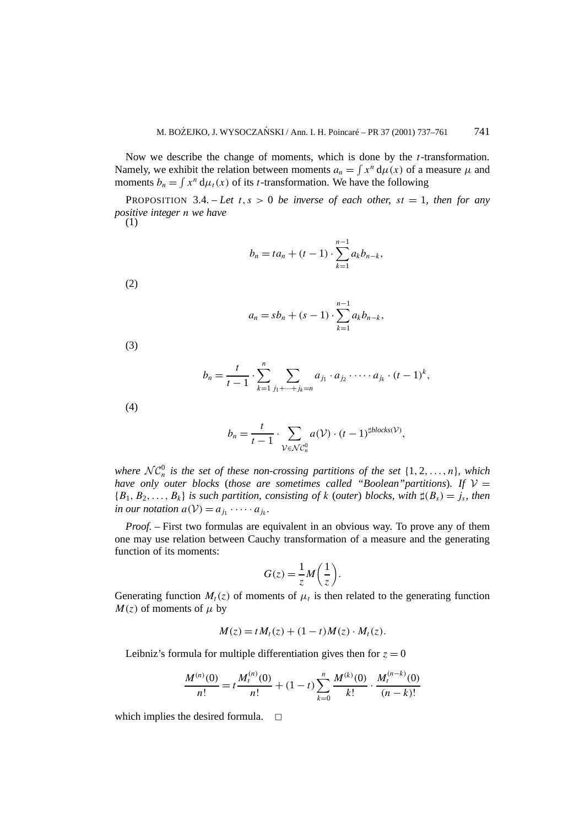Now we describe the change of moments, which is done by the *t*-transformation. Namely, we exhibit the relation between moments  $a_n = \int x^n d\mu(x)$  of a measure  $\mu$  and moments  $b_n = \int x^n d\mu_t(x)$  of its *t*-transformation. We have the following

PROPOSITION 3.4. – *Let*  $t, s > 0$  *be inverse of each other,*  $st = 1$ *, then for any positive integer n we have*

(1)

$$
b_n = ta_n + (t-1) \cdot \sum_{k=1}^{n-1} a_k b_{n-k},
$$

(2)

$$
a_n = sb_n + (s - 1) \cdot \sum_{k=1}^{n-1} a_k b_{n-k},
$$

(3)

$$
b_n = \frac{t}{t-1} \cdot \sum_{k=1}^n \sum_{j_1 + \dots + j_k = n} a_{j_1} \cdot a_{j_2} \cdot \dots \cdot a_{j_k} \cdot (t-1)^k,
$$

(4)

$$
b_n = \frac{t}{t-1} \cdot \sum_{\mathcal{V} \in \mathcal{NC}_n^0} a(\mathcal{V}) \cdot (t-1)^{\sharp blocks(\mathcal{V})},
$$

*where*  $\mathcal{NC}_n^0$  *is the set of these non-crossing partitions of the set*  $\{1, 2, ..., n\}$ *, which have only outer blocks (those are sometimes called "Boolean" partitions). If*  $V =$  ${B_1, B_2, \ldots, B_k}$  *is such partition, consisting of k* (*outer*) *blocks, with*  $\sharp(B_s) = j_s$ *, then in our notation*  $a(\mathcal{V}) = a_{j_1} \cdot \cdots \cdot a_{j_k}$ .

*Proof. –* First two formulas are equivalent in an obvious way. To prove any of them one may use relation between Cauchy transformation of a measure and the generating function of its moments:

$$
G(z) = \frac{1}{z}M\left(\frac{1}{z}\right).
$$

Generating function  $M_t(z)$  of moments of  $\mu_t$  is then related to the generating function  $M(z)$  of moments of  $\mu$  by

$$
M(z) = t M_t(z) + (1-t) M(z) \cdot M_t(z).
$$

Leibniz's formula for multiple differentiation gives then for  $z = 0$ 

$$
\frac{M^{(n)}(0)}{n!} = t \frac{M_t^{(n)}(0)}{n!} + (1-t) \sum_{k=0}^n \frac{M^{(k)}(0)}{k!} \cdot \frac{M_t^{(n-k)}(0)}{(n-k)!}
$$

which implies the desired formula.  $\Box$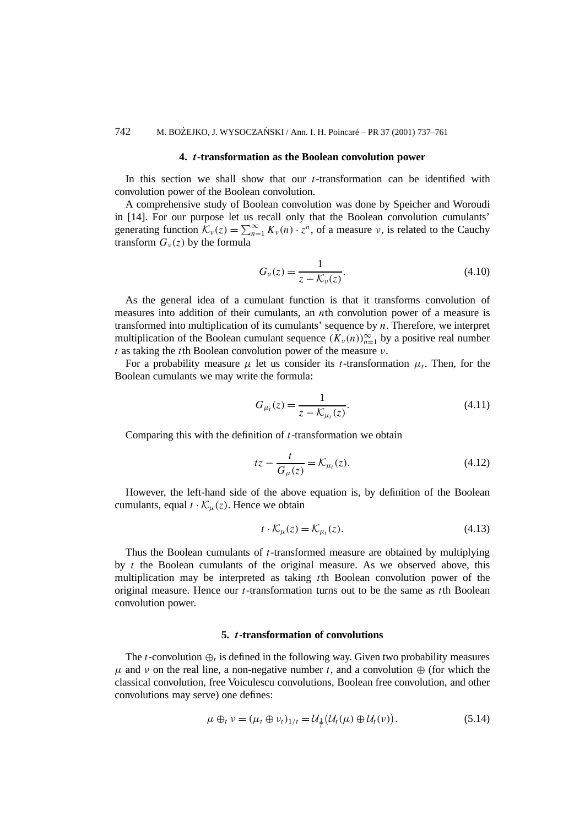#### **4.** *t***-transformation as the Boolean convolution power**

In this section we shall show that our *t*-transformation can be identified with convolution power of the Boolean convolution.

A comprehensive study of Boolean convolution was done by Speicher and Woroudi in [14]. For our purpose let us recall only that the Boolean convolution cumulants' generating function  $\mathcal{K}_{\nu}(z) = \sum_{n=1}^{\infty} K_{\nu}(n) \cdot z^n$ , of a measure  $\nu$ , is related to the Cauchy transform  $G_{\nu}(z)$  by the formula

$$
G_{\nu}(z) = \frac{1}{z - \mathcal{K}_{\nu}(z)}.
$$
\n(4.10)

As the general idea of a cumulant function is that it transforms convolution of measures into addition of their cumulants, an *n*th convolution power of a measure is transformed into multiplication of its cumulants' sequence by *n*. Therefore, we interpret multiplication of the Boolean cumulant sequence  $(K_v(n))_{n=1}^{\infty}$  by a positive real number *t* as taking the *t*th Boolean convolution power of the measure *ν*.

For a probability measure  $\mu$  let us consider its *t*-transformation  $\mu_t$ . Then, for the Boolean cumulants we may write the formula:

$$
G_{\mu_t}(z) = \frac{1}{z - \mathcal{K}_{\mu_t}(z)}.
$$
\n(4.11)

Comparing this with the definition of *t*-transformation we obtain

$$
tz - \frac{t}{G_{\mu}(z)} = \mathcal{K}_{\mu_t}(z). \tag{4.12}
$$

However, the left-hand side of the above equation is, by definition of the Boolean cumulants, equal  $t \cdot \mathcal{K}_u(z)$ . Hence we obtain

$$
t \cdot \mathcal{K}_{\mu}(z) = \mathcal{K}_{\mu_t}(z). \tag{4.13}
$$

Thus the Boolean cumulants of *t*-transformed measure are obtained by multiplying by *t* the Boolean cumulants of the original measure. As we observed above, this multiplication may be interpreted as taking *t*th Boolean convolution power of the original measure. Hence our *t*-transformation turns out to be the same as *t*th Boolean convolution power.

### **5.** *t***-transformation of convolutions**

The *t*-convolution  $\oplus_t$  is defined in the following way. Given two probability measures  $\mu$  and  $\nu$  on the real line, a non-negative number *t*, and a convolution  $\oplus$  (for which the classical convolution, free Voiculescu convolutions, Boolean free convolution, and other convolutions may serve) one defines:

$$
\mu \oplus_t \nu = (\mu_t \oplus \nu_t)_{1/t} = \mathcal{U}_{\frac{1}{t}}(\mathcal{U}_t(\mu) \oplus \mathcal{U}_t(\nu)). \tag{5.14}
$$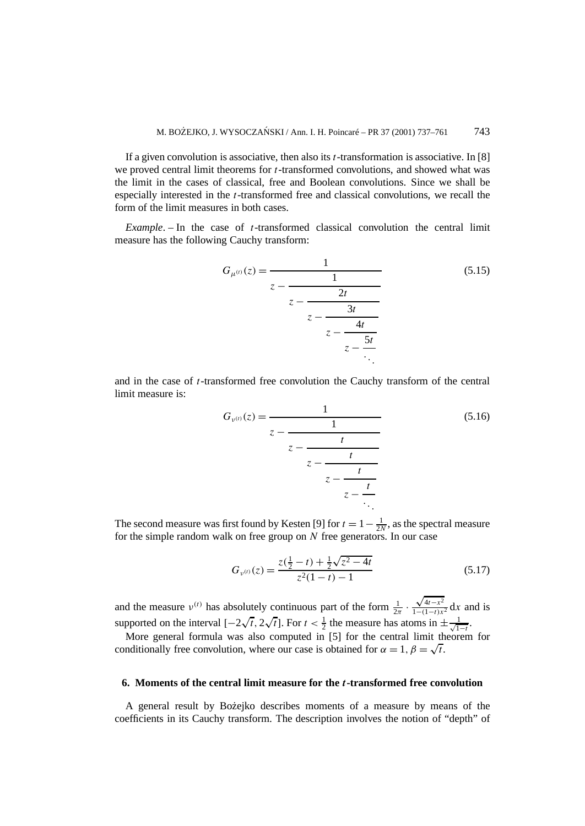If a given convolution is associative, then also its *t*-transformation is associative. In [8] we proved central limit theorems for *t*-transformed convolutions, and showed what was the limit in the cases of classical, free and Boolean convolutions. Since we shall be especially interested in the *t*-transformed free and classical convolutions, we recall the form of the limit measures in both cases.

*Example*. – In the case of *t*-transformed classical convolution the central limit measure has the following Cauchy transform:

$$
G_{\mu^{(t)}}(z) = \frac{1}{z - \frac{1}{z - \frac{2t}{z - \frac{3t}{z - \frac{5t}{z - \frac{5t}{\ddots}}}}}}\tag{5.15}
$$

and in the case of *t*-transformed free convolution the Cauchy transform of the central limit measure is:

$$
G_{\nu^{(t)}}(z) = \cfrac{1}{z - \cfrac{1}{z - \cfrac{t}{z - \cfrac{t}{z - \cfrac{t}{z - \cfrac{t}{z - \ddots}}}}}}
$$
(5.16)

The second measure was first found by Kesten [9] for  $t = 1 - \frac{1}{2N}$ , as the spectral measure for the simple random walk on free group on *N* free generators. In our case

$$
G_{\nu^{(t)}}(z) = \frac{z(\frac{1}{2} - t) + \frac{1}{2}\sqrt{z^2 - 4t}}{z^2(1 - t) - 1}
$$
\n(5.17)

and the measure  $v^{(t)}$  has absolutely continuous part of the form  $\frac{1}{2\pi}$ . √ $\frac{\sqrt{4t-x^2}}{1-(1-t)x^2}$  d*x* and is supported on the interval  $[-2\sqrt{t}, 2\sqrt{t}]$ . For  $t < \frac{1}{2}$  the measure has atoms in  $\pm \frac{1}{\sqrt{1}}$  $\frac{1}{1-t}$ .

More general formula was also computed in [5] for the central limit theorem for conditionally free convolution, where our case is obtained for  $\alpha = 1, \beta = \sqrt{t}$ .

#### **6. Moments of the central limit measure for the** *t***-transformed free convolution**

A general result by Bo˙zejko describes moments of a measure by means of the coefficients in its Cauchy transform. The description involves the notion of "depth" of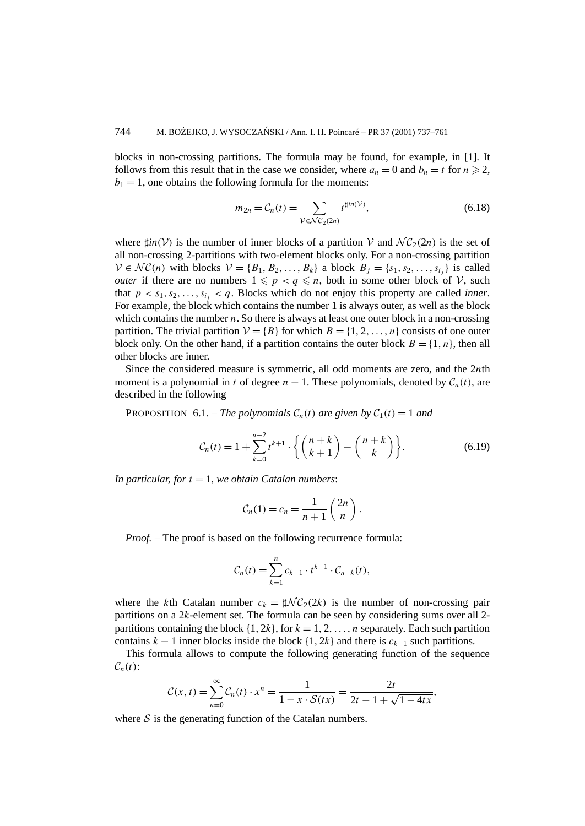blocks in non-crossing partitions. The formula may be found, for example, in [1]. It follows from this result that in the case we consider, where  $a_n = 0$  and  $b_n = t$  for  $n \ge 2$ ,  $b_1 = 1$ , one obtains the following formula for the moments:

$$
m_{2n} = C_n(t) = \sum_{\mathcal{V} \in \mathcal{NC}_2(2n)} t^{\sharp in(\mathcal{V})},\tag{6.18}
$$

where  $\sharp in(V)$  is the number of inner blocks of a partition V and  $\mathcal{NC}_2(2n)$  is the set of all non-crossing 2-partitions with two-element blocks only. For a non-crossing partition  $V \in \mathcal{NC}(n)$  with blocks  $V = \{B_1, B_2, \ldots, B_k\}$  a block  $B_i = \{s_1, s_2, \ldots, s_{i_i}\}$  is called *outer* if there are no numbers  $1 \leqslant p < q \leqslant n$ , both in some other block of V, such that  $p < s_1, s_2, \ldots, s_i, < q$ . Blocks which do not enjoy this property are called *inner*. For example, the block which contains the number 1 is always outer, as well as the block which contains the number *n*. So there is always at least one outer block in a non-crossing partition. The trivial partition  $V = {B}$  for which  $B = {1, 2, ..., n}$  consists of one outer block only. On the other hand, if a partition contains the outer block  $B = \{1, n\}$ , then all other blocks are inner.

Since the considered measure is symmetric, all odd moments are zero, and the 2*n*th moment is a polynomial in *t* of degree  $n - 1$ . These polynomials, denoted by  $C_n(t)$ , are described in the following

**PROPOSITION** 6.1. – *The polynomials*  $C_n(t)$  *are given by*  $C_1(t) = 1$  *and* 

$$
C_n(t) = 1 + \sum_{k=0}^{n-2} t^{k+1} \cdot \left\{ \binom{n+k}{k+1} - \binom{n+k}{k} \right\}.
$$
 (6.19)

*In particular, for*  $t = 1$ *, we obtain Catalan numbers:* 

$$
C_n(1) = c_n = \frac{1}{n+1} \binom{2n}{n}.
$$

*Proof. –* The proof is based on the following recurrence formula:

$$
\mathcal{C}_n(t) = \sum_{k=1}^n c_{k-1} \cdot t^{k-1} \cdot \mathcal{C}_{n-k}(t),
$$

where the *k*th Catalan number  $c_k = \sharp \mathcal{NC}_2(2k)$  is the number of non-crossing pair partitions on a 2*k*-element set. The formula can be seen by considering sums over all 2 partitions containing the block  $\{1, 2k\}$ , for  $k = 1, 2, \ldots, n$  separately. Each such partition contains  $k - 1$  inner blocks inside the block  $\{1, 2k\}$  and there is  $c_{k-1}$  such partitions.

This formula allows to compute the following generating function of the sequence  $C_n(t)$ :

$$
C(x,t) = \sum_{n=0}^{\infty} C_n(t) \cdot x^n = \frac{1}{1 - x \cdot S(tx)} = \frac{2t}{2t - 1 + \sqrt{1 - 4tx}},
$$

where  $S$  is the generating function of the Catalan numbers.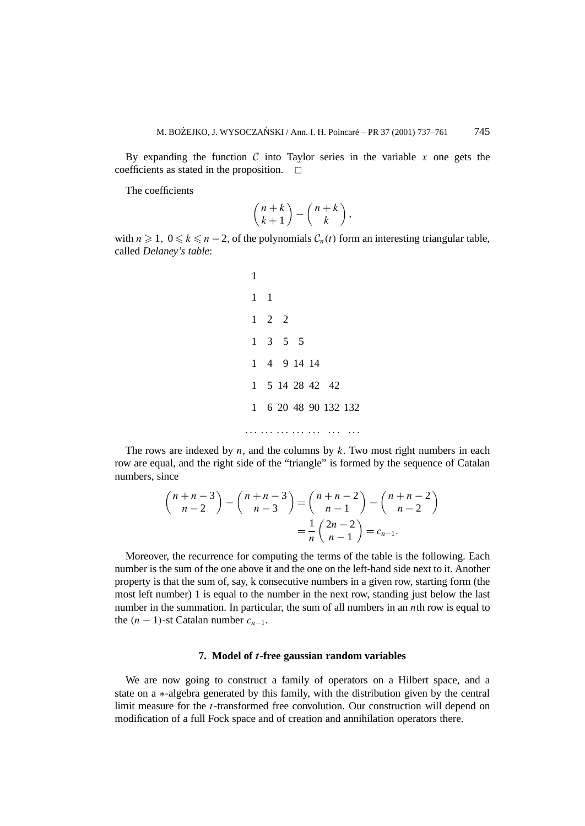By expanding the function  $C$  into Taylor series in the variable  $x$  one gets the coefficients as stated in the proposition.  $\Box$ 

The coefficients

$$
\binom{n+k}{k+1}-\binom{n+k}{k}\,,
$$

with  $n \ge 1$ ,  $0 \le k \le n-2$ , of the polynomials  $C_n(t)$  form an interesting triangular table, called *Delaney's table*:

The rows are indexed by *n*, and the columns by *k*. Two most right numbers in each row are equal, and the right side of the "triangle" is formed by the sequence of Catalan numbers, since

$$
\binom{n+n-3}{n-2} - \binom{n+n-3}{n-3} = \binom{n+n-2}{n-1} - \binom{n+n-2}{n-2} = \frac{1}{n} \binom{2n-2}{n-1} = c_{n-1}.
$$

Moreover, the recurrence for computing the terms of the table is the following. Each number is the sum of the one above it and the one on the left-hand side next to it. Another property is that the sum of, say, k consecutive numbers in a given row, starting form (the most left number) 1 is equal to the number in the next row, standing just below the last number in the summation. In particular, the sum of all numbers in an *n*th row is equal to the  $(n-1)$ -st Catalan number  $c_{n-1}$ .

#### **7. Model of** *t***-free gaussian random variables**

We are now going to construct a family of operators on a Hilbert space, and a state on a ∗-algebra generated by this family, with the distribution given by the central limit measure for the *t*-transformed free convolution. Our construction will depend on modification of a full Fock space and of creation and annihilation operators there.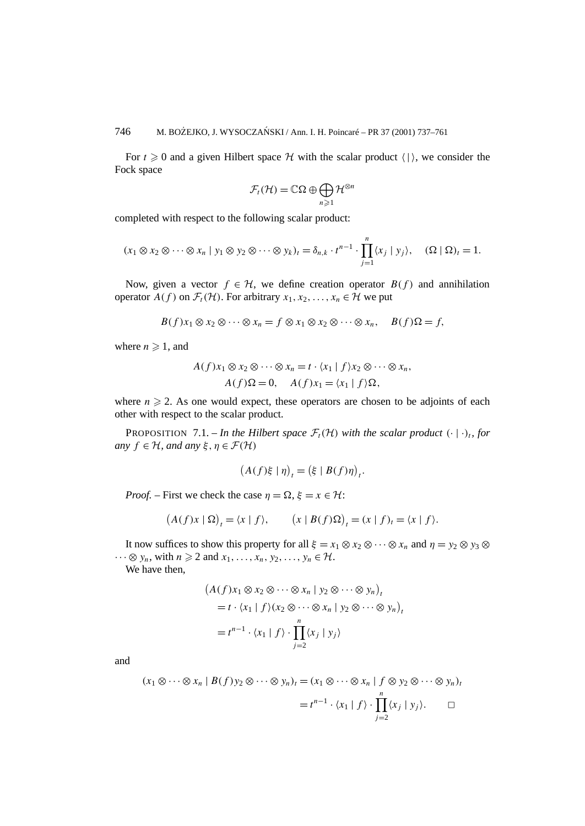For  $t \ge 0$  and a given Hilbert space H with the scalar product  $\langle \cdot | \cdot \rangle$ , we consider the Fock space

$$
\mathcal{F}_t(\mathcal{H}) = \mathbb{C}\Omega \oplus \bigoplus_{n\geqslant 1} \mathcal{H}^{\otimes n}
$$

completed with respect to the following scalar product:

$$
(x_1 \otimes x_2 \otimes \cdots \otimes x_n \mid y_1 \otimes y_2 \otimes \cdots \otimes y_k)_t = \delta_{n,k} \cdot t^{n-1} \cdot \prod_{j=1}^n \langle x_j \mid y_j \rangle, \quad (\Omega \mid \Omega)_t = 1.
$$

Now, given a vector  $f \in H$ , we define creation operator  $B(f)$  and annihilation operator  $A(f)$  on  $\mathcal{F}_t(\mathcal{H})$ . For arbitrary  $x_1, x_2, \ldots, x_n \in \mathcal{H}$  we put

$$
B(f)x_1 \otimes x_2 \otimes \cdots \otimes x_n = f \otimes x_1 \otimes x_2 \otimes \cdots \otimes x_n, \quad B(f)\Omega = f,
$$

where  $n \geqslant 1$ , and

$$
A(f)x_1 \otimes x_2 \otimes \cdots \otimes x_n = t \cdot \langle x_1 | f \rangle x_2 \otimes \cdots \otimes x_n,
$$
  

$$
A(f)\Omega = 0, \quad A(f)x_1 = \langle x_1 | f \rangle \Omega,
$$

where  $n \geq 2$ . As one would expect, these operators are chosen to be adjoints of each other with respect to the scalar product.

PROPOSITION 7.1. – In the Hilbert space  $\mathcal{F}_t(\mathcal{H})$  with the scalar product  $(·)_{t}$ , for *any*  $f \in H$ *, and any*  $\xi, \eta \in \mathcal{F}(\mathcal{H})$ 

$$
(A(f)\xi \mid \eta)_t = (\xi \mid B(f)\eta)_t.
$$

*Proof.* – First we check the case  $\eta = \Omega$ ,  $\xi = x \in \mathcal{H}$ :

$$
(A(f)x \mid \Omega)_t = \langle x \mid f \rangle, \qquad (x \mid B(f)\Omega)_t = (x \mid f)_t = \langle x \mid f \rangle.
$$

It now suffices to show this property for all  $\xi = x_1 \otimes x_2 \otimes \cdots \otimes x_n$  and  $\eta = y_2 \otimes y_3 \otimes \cdots \otimes y_n$  $\cdots \otimes y_n$ , with  $n \geq 2$  and  $x_1, \ldots, x_n, y_2, \ldots, y_n \in \mathcal{H}$ .

We have then,

$$
\begin{aligned} \left(A(f)x_1 \otimes x_2 \otimes \cdots \otimes x_n \mid y_2 \otimes \cdots \otimes y_n\right)_t \\ &= t \cdot \langle x_1 \mid f \rangle (x_2 \otimes \cdots \otimes x_n \mid y_2 \otimes \cdots \otimes y_n)_t \\ &= t^{n-1} \cdot \langle x_1 \mid f \rangle \cdot \prod_{j=2}^n \langle x_j \mid y_j \rangle \end{aligned}
$$

and

$$
(x_1 \otimes \cdots \otimes x_n \mid B(f)y_2 \otimes \cdots \otimes y_n)_t = (x_1 \otimes \cdots \otimes x_n \mid f \otimes y_2 \otimes \cdots \otimes y_n)_t
$$
  
=  $t^{n-1} \cdot \langle x_1 \mid f \rangle \cdot \prod_{j=2}^n \langle x_j \mid y_j \rangle$ .  $\square$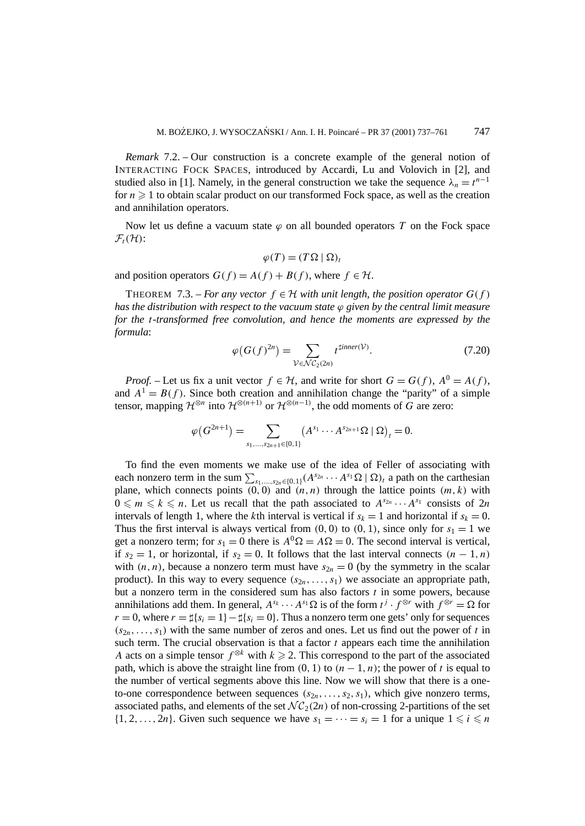*Remark* 7.2. – Our construction is a concrete example of the general notion of INTERACTING FOCK SPACES, introduced by Accardi, Lu and Volovich in [2], and studied also in [1]. Namely, in the general construction we take the sequence  $\lambda_n = t^{n-1}$ for  $n \geq 1$  to obtain scalar product on our transformed Fock space, as well as the creation and annihilation operators.

Now let us define a vacuum state  $\varphi$  on all bounded operators *T* on the Fock space  $\mathcal{F}_t(\mathcal{H})$ :

$$
\varphi(T) = (T\Omega \mid \Omega)_t
$$

and position operators  $G(f) = A(f) + B(f)$ , where  $f \in H$ .

THEOREM 7.3. – *For any vector*  $f \in H$  *with unit length, the position operator*  $G(f)$ *has the distribution with respect to the vacuum state ϕ given by the central limit measure for the t-transformed free convolution, and hence the moments are expressed by the formula*:

$$
\varphi\big(G(f)^{2n}\big) = \sum_{\mathcal{V} \in \mathcal{NC}_2(2n)} t^{\text{timer}(\mathcal{V})}.
$$
\n(7.20)

*Proof.* – Let us fix a unit vector  $f \in H$ , and write for short  $G = G(f)$ ,  $A^0 = A(f)$ , and  $A^1 = B(f)$ . Since both creation and annihilation change the "parity" of a simple tensor, mapping  $\mathcal{H}^{\otimes n}$  into  $\mathcal{H}^{\otimes (n+1)}$  or  $\mathcal{H}^{\otimes (n-1)}$ , the odd moments of *G* are zero:

$$
\varphi(G^{2n+1}) = \sum_{s_1,\ldots,s_{2n+1}\in\{0,1\}} (A^{s_1}\cdots A^{s_{2n+1}}\Omega \mid \Omega)_t = 0.
$$

To find the even moments we make use of the idea of Feller of associating with each nonzero term in the sum  $\sum_{s_1,\dots,s_{2n}\in\{0,1\}} (A^{s_{2n}} \cdots A^{s_1} \Omega \mid \Omega)_t$  a path on the carthesian plane, which connects points  $(0,0)$  and  $(n, n)$  through the lattice points  $(m, k)$  with  $0 \le m \le k \le n$ . Let us recall that the path associated to  $A^{s_{2n}} \cdots A^{s_1}$  consists of  $2n$ intervals of length 1, where the *k*th interval is vertical if  $s_k = 1$  and horizontal if  $s_k = 0$ . Thus the first interval is always vertical from  $(0, 0)$  to  $(0, 1)$ , since only for  $s_1 = 1$  we get a nonzero term; for  $s_1 = 0$  there is  $A^0 \Omega = A \Omega = 0$ . The second interval is vertical, if  $s_2 = 1$ , or horizontal, if  $s_2 = 0$ . It follows that the last interval connects  $(n - 1, n)$ with  $(n, n)$ , because a nonzero term must have  $s_{2n} = 0$  (by the symmetry in the scalar product). In this way to every sequence  $(s_{2n},...,s_1)$  we associate an appropriate path, but a nonzero term in the considered sum has also factors *t* in some powers, because annihilations add them. In general,  $A^{s_k} \cdots A^{s_1} \Omega$  is of the form  $t^j \cdot f^{\otimes r}$  with  $f^{\otimes r} = \Omega$  for  $r = 0$ , where  $r = \frac{1}{2}s_i = 1 - \frac{1}{2}s_i = 0$ . Thus a nonzero term one gets' only for sequences  $(s_{2n},...,s_1)$  with the same number of zeros and ones. Let us find out the power of *t* in such term. The crucial observation is that a factor  $t$  appears each time the annihilation *A* acts on a simple tensor  $f^{\otimes k}$  with  $k \ge 2$ . This correspond to the part of the associated path, which is above the straight line from  $(0, 1)$  to  $(n - 1, n)$ ; the power of *t* is equal to the number of vertical segments above this line. Now we will show that there is a oneto-one correspondence between sequences  $(s_{2n}, \ldots, s_2, s_1)$ , which give nonzero terms, associated paths, and elements of the set  $\mathcal{NC}_2(2n)$  of non-crossing 2-partitions of the set  $\{1, 2, \ldots, 2n\}$ . Given such sequence we have  $s_1 = \cdots = s_i = 1$  for a unique  $1 \leq i \leq n$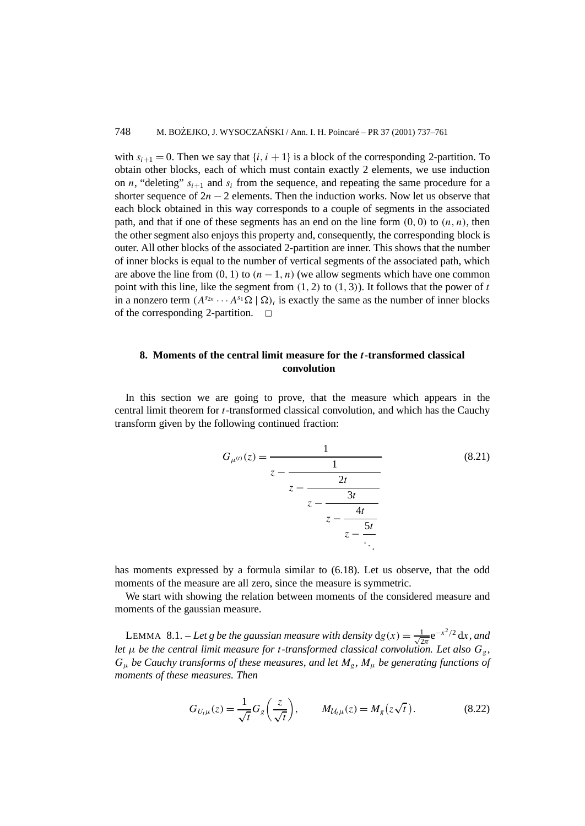with  $s_{i+1} = 0$ . Then we say that  $\{i, i + 1\}$  is a block of the corresponding 2-partition. To obtain other blocks, each of which must contain exactly 2 elements, we use induction on *n*, "deleting"  $s_{i+1}$  and  $s_i$  from the sequence, and repeating the same procedure for a shorter sequence of  $2n - 2$  elements. Then the induction works. Now let us observe that each block obtained in this way corresponds to a couple of segments in the associated path, and that if one of these segments has an end on the line form  $(0, 0)$  to  $(n, n)$ , then the other segment also enjoys this property and, consequently, the corresponding block is outer. All other blocks of the associated 2-partition are inner. This shows that the number of inner blocks is equal to the number of vertical segments of the associated path, which are above the line from  $(0, 1)$  to  $(n - 1, n)$  (we allow segments which have one common point with this line, like the segment from *(*1*,* 2*)* to *(*1*,* 3*)*). It follows that the power of *t* in a nonzero term  $(A^{s_{2n}} \cdots A^{s_1} \Omega \mid \Omega)$ , is exactly the same as the number of inner blocks of the corresponding 2-partition.  $\square$ 

## **8. Moments of the central limit measure for the** *t***-transformed classical convolution**

In this section we are going to prove, that the measure which appears in the central limit theorem for *t*-transformed classical convolution, and which has the Cauchy transform given by the following continued fraction:

$$
G_{\mu^{(t)}}(z) = \frac{1}{z - \frac{1}{z - \frac{2t}{z - \frac{3t}{z - \frac{4t}{z - \frac{5t}{\ddots}}}}}}\tag{8.21}
$$

has moments expressed by a formula similar to (6.18). Let us observe, that the odd moments of the measure are all zero, since the measure is symmetric.

We start with showing the relation between moments of the considered measure and moments of the gaussian measure.

LEMMA 8.1. – Let g be the gaussian measure with density  $dg(x) = \frac{1}{\sqrt{2\pi}}e^{-x^2/2} dx$ , and *let*  $\mu$  *be the central limit measure for t-transformed classical convolution. Let also*  $G_g$ , *Gµ be Cauchy transforms of these measures, and let Mg, Mµ be generating functions of moments of these measures. Then*

$$
G_{U_t\mu}(z) = \frac{1}{\sqrt{t}} G_g\left(\frac{z}{\sqrt{t}}\right), \qquad M_{\mathcal{U}_t\mu}(z) = M_g\left(z\sqrt{t}\right). \tag{8.22}
$$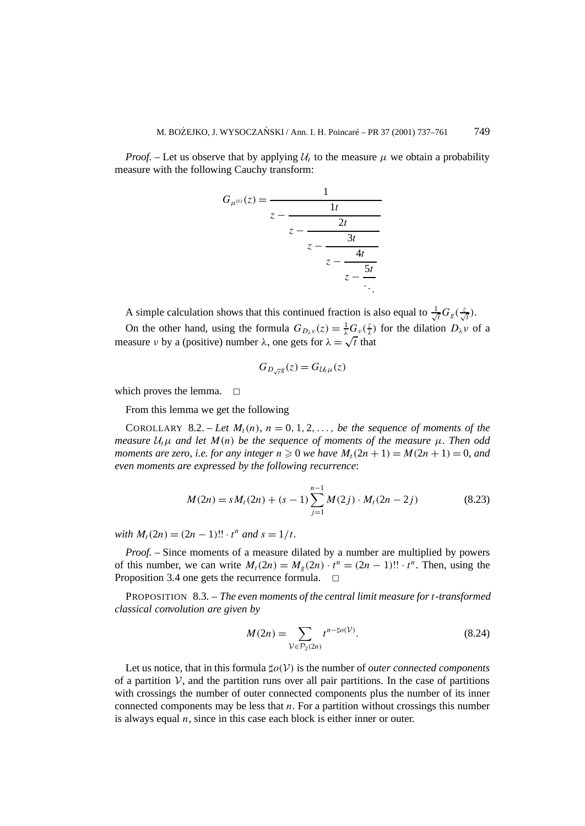*Proof.* – Let us observe that by applying  $U_t$  to the measure  $\mu$  we obtain a probability measure with the following Cauchy transform:

$$
G_{\mu^{(t)}}(z) = \cfrac{1}{z - \cfrac{2t}{z - \cfrac{2t}{z - \cfrac{3t}{z - \cfrac{5t}{z - \ddots}}}}}
$$

A simple calculation shows that this continued fraction is also equal to  $\frac{1}{\sqrt{2}}$  $\frac{1}{t}G_g(\frac{z}{\sqrt{t}})$ .

On the other hand, using the formula  $G_{D_\lambda v}(z) = \frac{1}{\lambda} G_v(\frac{z}{\lambda})$  for the dilation  $D_\lambda v$  of a measure *ν* by a (positive) number  $\lambda$ , one gets for  $\lambda = \sqrt{t}$  that

$$
G_{D_{\sqrt{t}}g}(z) = G_{\mathcal{U}_t\mu}(z)
$$

which proves the lemma.  $\square$ 

From this lemma we get the following

COROLLARY 8.2. – Let  $M_t(n)$ ,  $n = 0, 1, 2, \ldots$ , be the sequence of moments of the *measure*  $U_t$  $\mu$  *and let*  $M(n)$  *be the sequence of moments of the measure*  $\mu$ *. Then odd moments are zero, i.e. for any integer*  $n \ge 0$  *we have*  $M_t(2n + 1) = M(2n + 1) = 0$ *, and even moments are expressed by the following recurrence*:

$$
M(2n) = sM_t(2n) + (s-1)\sum_{j=1}^{n-1} M(2j) \cdot M_t(2n-2j)
$$
 (8.23)

*with*  $M_t(2n) = (2n - 1)!! \cdot t^n$  *and*  $s = 1/t$ *.* 

*Proof. –* Since moments of a measure dilated by a number are multiplied by powers of this number, we can write  $M_t(2n) = M_g(2n) \cdot t^n = (2n - 1)!! \cdot t^n$ . Then, using the Proposition 3.4 one gets the recurrence formula.  $\Box$ 

PROPOSITION 8.3. – *The even moments of the central limit measure for t-transformed classical convolution are given by*

$$
M(2n) = \sum_{\mathcal{V} \in \mathcal{P}_2(2n)} t^{n - \sharp o(\mathcal{V})}.
$$
 (8.24)

Let us notice, that in this formula  $\sharp o(V)$  is the number of *outer connected components* of a partition  $V$ , and the partition runs over all pair partitions. In the case of partitions with crossings the number of outer connected components plus the number of its inner connected components may be less that *n*. For a partition without crossings this number is always equal *n*, since in this case each block is either inner or outer.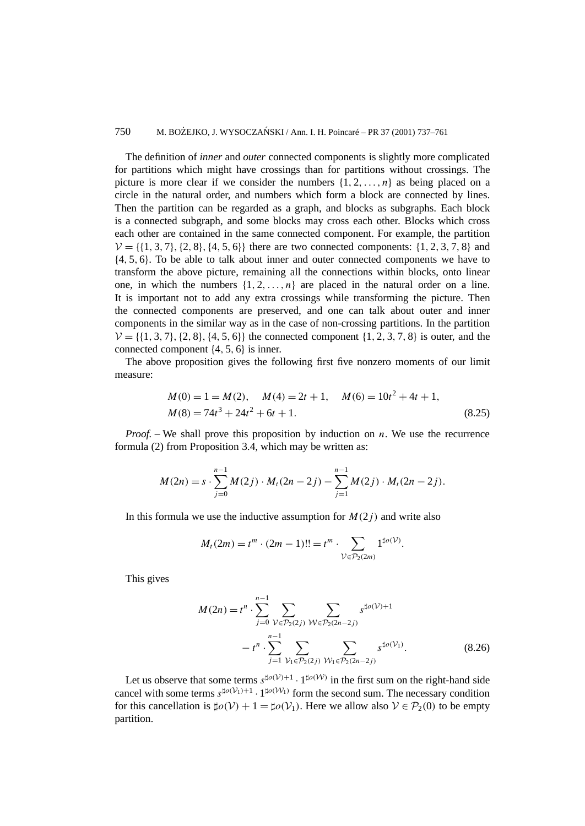#### 750 M. BOŻEJKO, J. WYSOCZAŃSKI / Ann. I. H. Poincaré – PR 37 (2001) 737–761

The definition of *inner* and *outer* connected components is slightly more complicated for partitions which might have crossings than for partitions without crossings. The picture is more clear if we consider the numbers  $\{1, 2, ..., n\}$  as being placed on a circle in the natural order, and numbers which form a block are connected by lines. Then the partition can be regarded as a graph, and blocks as subgraphs. Each block is a connected subgraph, and some blocks may cross each other. Blocks which cross each other are contained in the same connected component. For example, the partition  $V = \{\{1, 3, 7\}, \{2, 8\}, \{4, 5, 6\}\}\$  there are two connected components:  $\{1, 2, 3, 7, 8\}$  and {4*,* 5*,* 6}. To be able to talk about inner and outer connected components we have to transform the above picture, remaining all the connections within blocks, onto linear one, in which the numbers  $\{1, 2, \ldots, n\}$  are placed in the natural order on a line. It is important not to add any extra crossings while transforming the picture. Then the connected components are preserved, and one can talk about outer and inner components in the similar way as in the case of non-crossing partitions. In the partition  $V = \{\{1, 3, 7\}, \{2, 8\}, \{4, 5, 6\}\}\$ the connected component  $\{1, 2, 3, 7, 8\}$  is outer, and the connected component {4*,* 5*,* 6} is inner.

The above proposition gives the following first five nonzero moments of our limit measure:

$$
M(0) = 1 = M(2), \quad M(4) = 2t + 1, \quad M(6) = 10t^2 + 4t + 1,
$$
  

$$
M(8) = 74t^3 + 24t^2 + 6t + 1.
$$
 (8.25)

*Proof. –* We shall prove this proposition by induction on *n*. We use the recurrence formula (2) from Proposition 3.4, which may be written as:

$$
M(2n) = s \cdot \sum_{j=0}^{n-1} M(2j) \cdot M_t(2n-2j) - \sum_{j=1}^{n-1} M(2j) \cdot M_t(2n-2j).
$$

In this formula we use the inductive assumption for  $M(2<sub>i</sub>)$  and write also

$$
M_t(2m) = t^m \cdot (2m-1)!! = t^m \cdot \sum_{\mathcal{V} \in \mathcal{P}_2(2m)} 1^{\sharp o(\mathcal{V})}.
$$

This gives

$$
M(2n) = t^n \cdot \sum_{j=0}^{n-1} \sum_{\mathcal{V} \in \mathcal{P}_2(2j)} \sum_{\mathcal{W} \in \mathcal{P}_2(2n-2j)} s^{\sharp o(\mathcal{V})+1}
$$

$$
-t^n \cdot \sum_{j=1}^{n-1} \sum_{\mathcal{V}_1 \in \mathcal{P}_2(2j)} \sum_{\mathcal{W}_1 \in \mathcal{P}_2(2n-2j)} s^{\sharp o(\mathcal{V}_1)}.
$$
(8.26)

Let us observe that some terms  $s^{\sharp o(\mathcal{V})+1} \cdot 1^{\sharp o(\mathcal{W})}$  in the first sum on the right-hand side cancel with some terms  $s^{\sharp o(V_1)+1} \cdot 1^{\sharp o(W_1)}$  form the second sum. The necessary condition for this cancellation is  $\sharp o(\mathcal{V}) + 1 = \sharp o(\mathcal{V}_1)$ . Here we allow also  $\mathcal{V} \in \mathcal{P}_2(0)$  to be empty partition.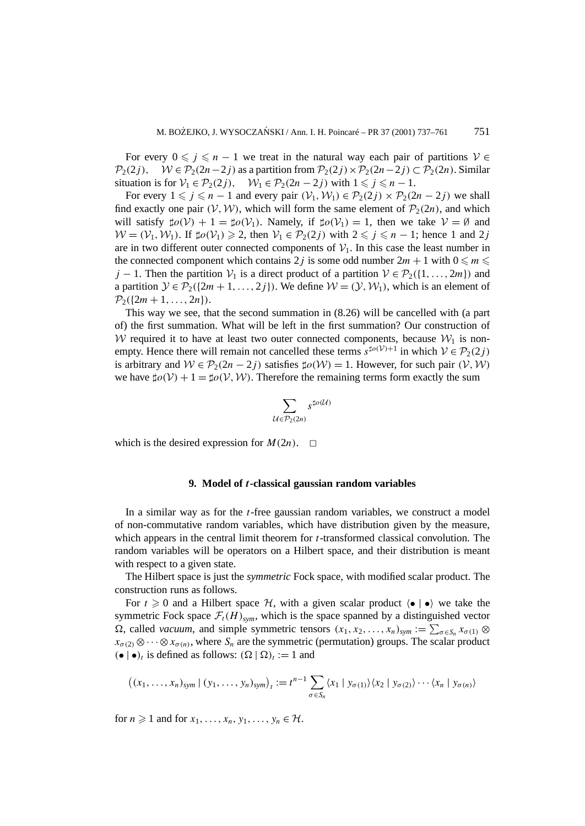For every  $0 \le j \le n - 1$  we treat in the natural way each pair of partitions  $V \in \mathcal{P}_2(2i)$ .  $W \in \mathcal{P}_2(2n-2i)$  as a partition from  $\mathcal{P}_2(2i) \times \mathcal{P}_2(2n-2i) \subset \mathcal{P}_2(2n)$ . Similar  $W ∈ P_2(2n-2j)$  as a partition from  $P_2(2j) \times P_2(2n-2j) ⊂ P_2(2n)$ . Similar situation is for  $V_1 \in \mathcal{P}_2(2j)$ ,  $W_1 \in \mathcal{P}_2(2n-2j)$  with  $1 \leq j \leq n-1$ .

For every  $1 \leq j \leq n-1$  and every pair  $(V_1, W_1) \in \mathcal{P}_2(2j) \times \mathcal{P}_2(2n-2j)$  we shall find exactly one pair  $(V, W)$ , which will form the same element of  $\mathcal{P}_2(2n)$ , and which will satisfy  $\sharp o(\mathcal{V}) + 1 = \sharp o(\mathcal{V}_1)$ . Namely, if  $\sharp o(\mathcal{V}_1) = 1$ , then we take  $\mathcal{V} = \emptyset$  and  $W = (V_1, W_1)$ . If  $\sharp o(V_1) \ge 2$ , then  $V_1 \in P_2(2j)$  with  $2 \le j \le n - 1$ ; hence 1 and 2*j* are in two different outer connected components of  $V_1$ . In this case the least number in the connected component which contains 2 *j* is some odd number  $2m + 1$  with  $0 \le m \le n$ *j* − 1. Then the partition  $V_1$  is a direct product of a partition  $V \in \mathcal{P}_2(\{1,\ldots,2m\})$  and a partition  $\mathcal{Y} \in \mathcal{P}_2({2m + 1, ..., 2j})$ . We define  $\mathcal{W} = (\mathcal{Y}, \mathcal{W}_1)$ , which is an element of  $\mathcal{P}_2({2m + 1, \ldots, 2n}).$ 

This way we see, that the second summation in (8.26) will be cancelled with (a part of) the first summation. What will be left in the first summation? Our construction of W required it to have at least two outer connected components, because  $W_1$  is nonempty. Hence there will remain not cancelled these terms  $s^{\sharp o(V)+1}$  in which  $V \in \mathcal{P}_2(2j)$ is arbitrary and  $W \in \mathcal{P}_2(2n-2j)$  satisfies  $\sharp o(\mathcal{W}) = 1$ . However, for such pair  $(\mathcal{V}, \mathcal{W})$ we have  $\sharp o(\mathcal{V}) + 1 = \sharp o(\mathcal{V}, \mathcal{W})$ . Therefore the remaining terms form exactly the sum

$$
\sum_{\mathcal{U}\in \mathcal{P}_2(2n)}s^{\sharp o(\mathcal{U})}
$$

which is the desired expression for  $M(2n)$ .  $\Box$ 

#### **9. Model of** *t***-classical gaussian random variables**

In a similar way as for the *t*-free gaussian random variables, we construct a model of non-commutative random variables, which have distribution given by the measure, which appears in the central limit theorem for *t*-transformed classical convolution. The random variables will be operators on a Hilbert space, and their distribution is meant with respect to a given state.

The Hilbert space is just the *symmetric* Fock space, with modified scalar product. The construction runs as follows.

For  $t \geq 0$  and a Hilbert space  $H$ , with a given scalar product  $\langle \bullet | \bullet \rangle$  we take the symmetric Fock space  $\mathcal{F}_t(H)_{sym}$ , which is the space spanned by a distinguished vector  $\Omega$ , called *vacuum*, and simple symmetric tensors  $(x_1, x_2, \ldots, x_n)_{sym} := \sum_{\sigma \in S_n} x_{\sigma(1)} \otimes$  $x_{\sigma(2)} \otimes \cdots \otimes x_{\sigma(n)}$ , where  $S_n$  are the symmetric (permutation) groups. The scalar product  $(\bullet | \bullet)_t$  is defined as follows:  $(\Omega | \Omega)_t := 1$  and

$$
((x_1,\ldots,x_n)_{sym} \mid (y_1,\ldots,y_n)_{sym})_t := t^{n-1} \sum_{\sigma \in S_n} \langle x_1 \mid y_{\sigma(1)} \rangle \langle x_2 \mid y_{\sigma(2)} \rangle \cdots \langle x_n \mid y_{\sigma(n)} \rangle
$$

for  $n \geq 1$  and for  $x_1, \ldots, x_n, y_1, \ldots, y_n \in \mathcal{H}$ .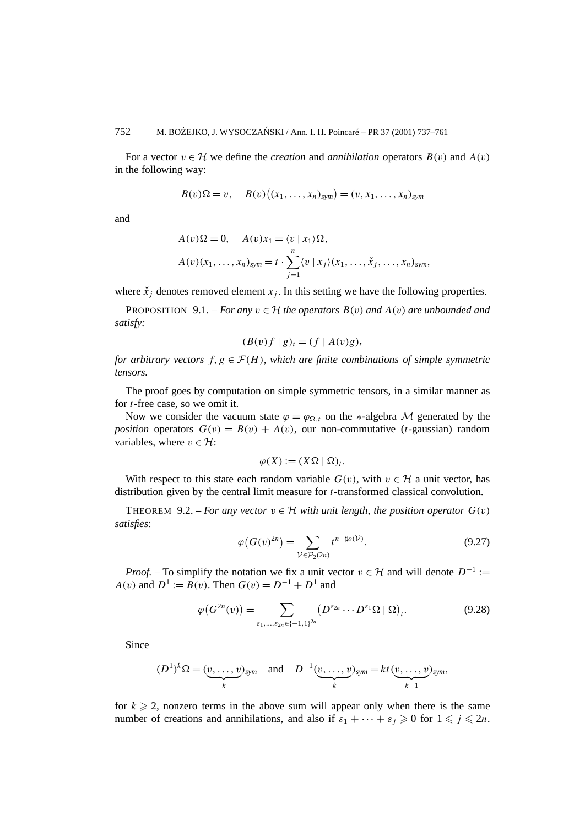For a vector  $v \in H$  we define the *creation* and *annihilation* operators  $B(v)$  and  $A(v)$ in the following way:

$$
B(v)\Omega = v, \quad B(v)\big((x_1,\ldots,x_n)_{sym}\big) = (v,x_1,\ldots,x_n)_{sym}
$$

and

$$
A(v)\Omega = 0, \quad A(v)x_1 = \langle v | x_1 \rangle \Omega,
$$
  

$$
A(v)(x_1, \ldots, x_n)_{sym} = t \cdot \sum_{j=1}^n \langle v | x_j \rangle (x_1, \ldots, \check{x}_j, \ldots, x_n)_{sym},
$$

where  $\ddot{x}_i$  denotes removed element  $x_i$ . In this setting we have the following properties.

**PROPOSITION** 9.1. – *For any*  $v \in H$  *the operators*  $B(v)$  *and*  $A(v)$  *are unbounded and satisfy:*

$$
(B(v)f | g)_t = (f | A(v)g)_t
$$

*for arbitrary vectors*  $f, g \in \mathcal{F}(H)$ *, which are finite combinations of simple symmetric tensors.*

The proof goes by computation on simple symmetric tensors, in a similar manner as for *t*-free case, so we omit it.

Now we consider the vacuum state  $\varphi = \varphi_{\Omega,t}$  on the \*-algebra M generated by the *position* operators  $G(v) = B(v) + A(v)$ , our non-commutative (*t*-gaussian) random variables, where  $v \in \mathcal{H}$ :

$$
\varphi(X) := (X\Omega \mid \Omega)_t.
$$

With respect to this state each random variable  $G(v)$ , with  $v \in H$  a unit vector, has distribution given by the central limit measure for *t*-transformed classical convolution.

THEOREM 9.2. – *For any vector*  $v \in H$  *with unit length, the position operator*  $G(v)$ *satisfies*:

$$
\varphi(G(v)^{2n}) = \sum_{\mathcal{V} \in \mathcal{P}_2(2n)} t^{n - \sharp o(\mathcal{V})}.
$$
\n(9.27)

*Proof.* – To simplify the notation we fix a unit vector  $v \in H$  and will denote  $D^{-1}$  := *A(v)* and  $D^1 := B(v)$ . Then  $G(v) = D^{-1} + D^1$  and

$$
\varphi\big(G^{2n}(v)\big) = \sum_{\varepsilon_1,\ldots,\varepsilon_{2n}\in\{-1,1\}^{2n}} \big(D^{\varepsilon_{2n}}\cdots D^{\varepsilon_1}\Omega \mid \Omega\big)_t.
$$
\n(9.28)

Since

$$
(D^1)^k \Omega = (\underbrace{v, \ldots, v}_{k})_{sym} \quad \text{and} \quad D^{-1}(\underbrace{v, \ldots, v}_{k})_{sym} = kt(\underbrace{v, \ldots, v}_{k-1})_{sym},
$$

for  $k \geq 2$ , nonzero terms in the above sum will appear only when there is the same number of creations and annihilations, and also if  $\varepsilon_1 + \cdots + \varepsilon_j \geq 0$  for  $1 \leq j \leq 2n$ .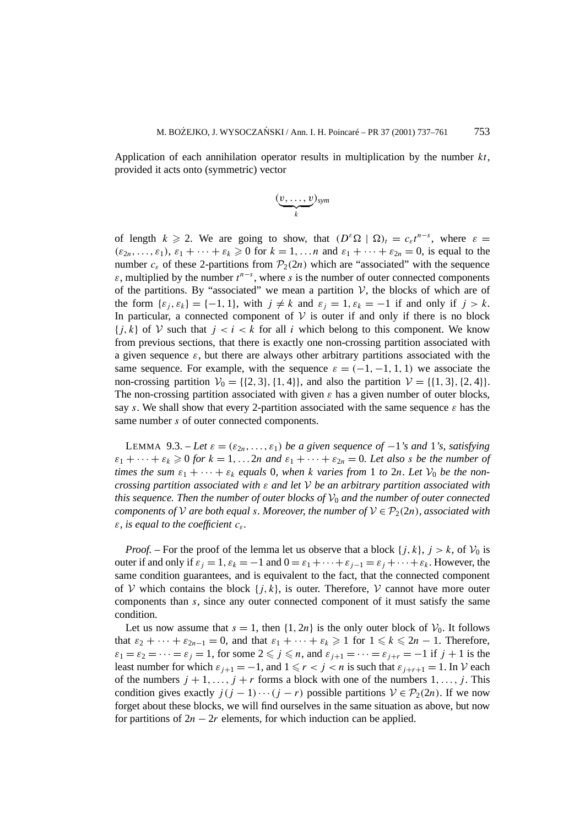Application of each annihilation operator results in multiplication by the number *kt*, provided it acts onto (symmetric) vector

$$
(\underbrace{v,\ldots,v}_{k})_{sym}
$$

of length  $k \ge 2$ . We are going to show, that  $(D^{\varepsilon}\Omega | \Omega)_t = c_{\varepsilon}t^{n-s}$ , where  $\varepsilon =$  $(\varepsilon_{2n},\ldots,\varepsilon_1), \varepsilon_1 + \cdots + \varepsilon_k \geq 0$  for  $k = 1,\ldots n$  and  $\varepsilon_1 + \cdots + \varepsilon_{2n} = 0$ , is equal to the number  $c_{\varepsilon}$  of these 2-partitions from  $\mathcal{P}_2(2n)$  which are "associated" with the sequence  $\varepsilon$ , multiplied by the number  $t^{n-s}$ , where *s* is the number of outer connected components of the partitions. By "associated" we mean a partition  $V$ , the blocks of which are of the form  $\{\varepsilon_i, \varepsilon_k\} = \{-1, 1\}$ , with  $j \neq k$  and  $\varepsilon_j = 1, \varepsilon_k = -1$  if and only if  $j > k$ . In particular, a connected component of  $V$  is outer if and only if there is no block  $\{j,k\}$  of V such that  $j < i < k$  for all *i* which belong to this component. We know from previous sections, that there is exactly one non-crossing partition associated with a given sequence  $\varepsilon$ , but there are always other arbitrary partitions associated with the same sequence. For example, with the sequence  $\varepsilon = (-1, -1, 1, 1)$  we associate the non-crossing partition  $V_0 = \{(2, 3), (1, 4)\}$ , and also the partition  $V = \{(1, 3), (2, 4)\}.$ The non-crossing partition associated with given  $\varepsilon$  has a given number of outer blocks, say *s*. We shall show that every 2-partition associated with the same sequence  $\varepsilon$  has the same number *s* of outer connected components.

LEMMA 9.3. – Let  $\varepsilon = (\varepsilon_{2n}, \ldots, \varepsilon_1)$  be a given sequence of  $-1$ 's and 1's, satisfying  $\varepsilon_1 + \cdots + \varepsilon_k \geq 0$  *for*  $k = 1, \ldots, 2n$  *and*  $\varepsilon_1 + \cdots + \varepsilon_{2n} = 0$ *. Let also s be the number of times the sum*  $\varepsilon_1 + \cdots + \varepsilon_k$  *equals* 0*, when k varies from* 1 *to* 2*n. Let*  $V_0$  *be the noncrossing partition associated with ε and let* V *be an arbitrary partition associated with this sequence. Then the number of outer blocks of*  $V_0$  *and the number of outer connected components of*  $V$  *are both equal s. Moreover, the number of*  $V \in \mathcal{P}_2(2n)$ *, associated with ε, is equal to the coefficient cε.*

*Proof.* – For the proof of the lemma let us observe that a block  $\{j, k\}$ ,  $j > k$ , of  $\mathcal{V}_0$  is outer if and only if  $\varepsilon_j = 1$ ,  $\varepsilon_k = -1$  and  $0 = \varepsilon_1 + \cdots + \varepsilon_{j-1} = \varepsilon_j + \cdots + \varepsilon_k$ . However, the same condition guarantees, and is equivalent to the fact, that the connected component of V which contains the block  $\{j, k\}$ , is outer. Therefore, V cannot have more outer components than *s*, since any outer connected component of it must satisfy the same condition.

Let us now assume that  $s = 1$ , then  $\{1, 2n\}$  is the only outer block of  $V_0$ . It follows that  $\varepsilon_2 + \cdots + \varepsilon_{2n-1} = 0$ , and that  $\varepsilon_1 + \cdots + \varepsilon_k \geq 1$  for  $1 \leq k \leq 2n-1$ . Therefore,  $\varepsilon_1 = \varepsilon_2 = \cdots = \varepsilon_i = 1$ , for some  $2 \leq j \leq n$ , and  $\varepsilon_{i+1} = \cdots = \varepsilon_{i+r} = -1$  if  $j+1$  is the least number for which  $\varepsilon_{i+1} = -1$ , and  $1 \le r < j < n$  is such that  $\varepsilon_{i+r+1} = 1$ . In V each of the numbers  $j + 1, \ldots, j + r$  forms a block with one of the numbers  $1, \ldots, j$ . This condition gives exactly  $j(j - 1) \cdots (j - r)$  possible partitions  $V \in \mathcal{P}_2(2n)$ . If we now forget about these blocks, we will find ourselves in the same situation as above, but now for partitions of  $2n - 2r$  elements, for which induction can be applied.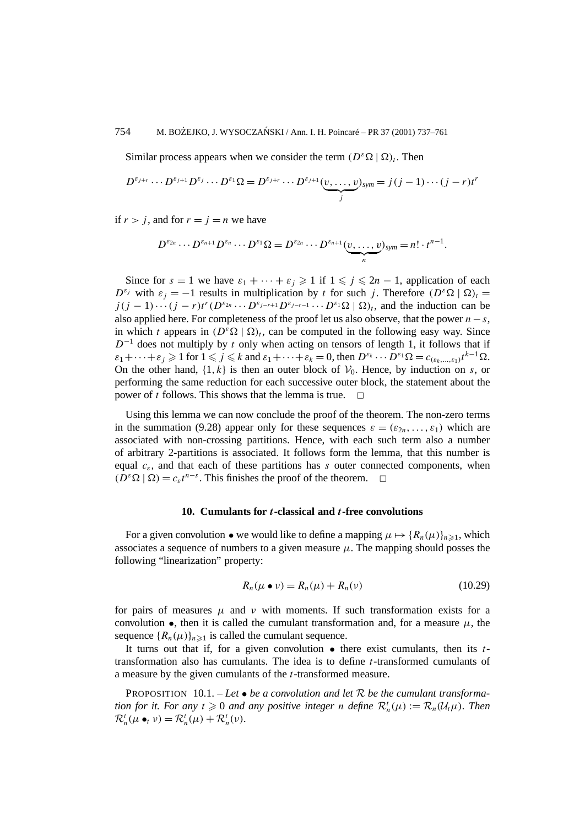Similar process appears when we consider the term  $(D^{\varepsilon}\Omega \mid \Omega)_t$ . Then

$$
D^{\varepsilon_{j+r}} \cdots D^{\varepsilon_{j+1}} D^{\varepsilon_j} \cdots D^{\varepsilon_1} \Omega = D^{\varepsilon_{j+r}} \cdots D^{\varepsilon_{j+1}} (\underbrace{v, \ldots, v}_{j})_{sym} = j(j-1) \cdots (j-r) t^r
$$

if  $r > j$ , and for  $r = j = n$  we have

$$
D^{\varepsilon_{2n}}\cdots D^{\varepsilon_{n+1}}D^{\varepsilon_n}\cdots D^{\varepsilon_1}\Omega=D^{\varepsilon_{2n}}\cdots D^{\varepsilon_{n+1}}(\underbrace{v,\ldots,v}_{n})_{sym}=n!\cdot t^{n-1}.
$$

Since for  $s = 1$  we have  $\varepsilon_1 + \cdots + \varepsilon_j \geq 1$  if  $1 \leq j \leq 2n - 1$ , application of each  $D^{\varepsilon_j}$  with  $\varepsilon_j = -1$  results in multiplication by *t* for such *j*. Therefore  $(D^{\varepsilon} \Omega \mid \Omega)_t =$  $j(j-1)\cdots(j-r)t^{r}(D^{\varepsilon_{2n}}\cdots D^{\varepsilon_{j-r+1}}D^{\varepsilon_{j-r-1}}\cdots D^{\varepsilon_1}\Omega\mid\Omega$ <sub>*t*</sub>, and the induction can be also applied here. For completeness of the proof let us also observe, that the power  $n - s$ , in which *t* appears in  $(D^{\varepsilon}\Omega | \Omega)$ , can be computed in the following easy way. Since  $D^{-1}$  does not multiply by *t* only when acting on tensors of length 1, it follows that if  $\varepsilon_1 + \cdots + \varepsilon_j \geqslant 1$  for  $1 \leqslant j \leqslant k$  and  $\varepsilon_1 + \cdots + \varepsilon_k = 0$ , then  $D^{\varepsilon_k} \cdots D^{\varepsilon_1} \Omega = c_{(\varepsilon_k, \dots, \varepsilon_1)} t^{k-1} \Omega$ . On the other hand,  $\{1, k\}$  is then an outer block of  $\mathcal{V}_0$ . Hence, by induction on *s*, or performing the same reduction for each successive outer block, the statement about the power of *t* follows. This shows that the lemma is true.  $\Box$ 

Using this lemma we can now conclude the proof of the theorem. The non-zero terms in the summation (9.28) appear only for these sequences  $\varepsilon = (\varepsilon_{2n}, \ldots, \varepsilon_1)$  which are associated with non-crossing partitions. Hence, with each such term also a number of arbitrary 2-partitions is associated. It follows form the lemma, that this number is equal  $c_{\varepsilon}$ , and that each of these partitions has *s* outer connected components, when  $(D^{\varepsilon} \Omega \mid \Omega) = c_{\varepsilon} t^{n-s}$ . This finishes the proof of the theorem.  $\square$ 

#### **10. Cumulants for** *t***-classical and** *t***-free convolutions**

For a given convolution • we would like to define a mapping  $\mu \mapsto \{R_n(\mu)\}_{n\geq 1}$ , which associates a sequence of numbers to a given measure  $\mu$ . The mapping should posses the following "linearization" property:

$$
R_n(\mu \bullet \nu) = R_n(\mu) + R_n(\nu) \tag{10.29}
$$

for pairs of measures  $\mu$  and  $\nu$  with moments. If such transformation exists for a convolution  $\bullet$ , then it is called the cumulant transformation and, for a measure  $\mu$ , the sequence  ${R_n(\mu)}_{n\geq 1}$  is called the cumulant sequence.

It turns out that if, for a given convolution • there exist cumulants, then its *t*transformation also has cumulants. The idea is to define *t*-transformed cumulants of a measure by the given cumulants of the *t*-transformed measure.

PROPOSITION 10.1. – *Let* • *be a convolution and let* R *be the cumulant transformation for it. For any*  $t \ge 0$  *and any positive integer n define*  $\mathcal{R}_n^t(\mu) := \mathcal{R}_n(\mathcal{U}_t\mu)$ *. Then*  $\mathcal{R}_n^t(\mu \bullet_t \nu) = \mathcal{R}_n^t(\mu) + \mathcal{R}_n^t(\nu).$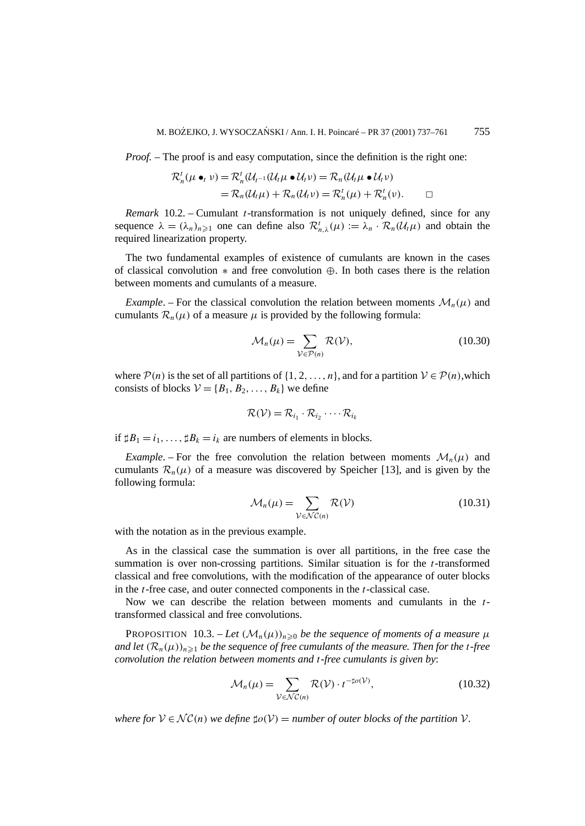*Proof.* – The proof is and easy computation, since the definition is the right one:

$$
\mathcal{R}_n^t(\mu \bullet_t \nu) = \mathcal{R}_n^t(\mathcal{U}_{t-1}(\mathcal{U}_t\mu \bullet \mathcal{U}_t\nu)) = \mathcal{R}_n(\mathcal{U}_t\mu \bullet \mathcal{U}_t\nu)
$$
  
=  $\mathcal{R}_n(\mathcal{U}_t\mu) + \mathcal{R}_n(\mathcal{U}_t\nu) = \mathcal{R}_n^t(\mu) + \mathcal{R}_n^t(\nu).$ 

*Remark* 10.2. – Cumulant *t*-transformation is not uniquely defined, since for any sequence  $\lambda = (\lambda_n)_{n \geq 1}$  one can define also  $\mathcal{R}^t_{n,\lambda}(\mu) := \lambda_n \cdot \mathcal{R}_n(\mathcal{U}_t \mu)$  and obtain the required linearization property.

The two fundamental examples of existence of cumulants are known in the cases of classical convolution  $*$  and free convolution  $\Leftrightarrow$ . In both cases there is the relation between moments and cumulants of a measure.

*Example*. – For the classical convolution the relation between moments  $\mathcal{M}_n(\mu)$  and cumulants  $\mathcal{R}_n(\mu)$  of a measure  $\mu$  is provided by the following formula:

$$
\mathcal{M}_n(\mu) = \sum_{\mathcal{V} \in \mathcal{P}(n)} \mathcal{R}(\mathcal{V}),\tag{10.30}
$$

where  $P(n)$  is the set of all partitions of  $\{1, 2, ..., n\}$ , and for a partition  $V \in P(n)$ , which consists of blocks  $V = \{B_1, B_2, \ldots, B_k\}$  we define

$$
\mathcal{R}(\mathcal{V}) = \mathcal{R}_{i_1} \cdot \mathcal{R}_{i_2} \cdot \cdots \mathcal{R}_{i_k}
$$

if  $\sharp B_1 = i_1, \ldots, \sharp B_k = i_k$  are numbers of elements in blocks.

*Example*. – For the free convolution the relation between moments  $\mathcal{M}_n(\mu)$  and cumulants  $\mathcal{R}_n(\mu)$  of a measure was discovered by Speicher [13], and is given by the following formula:

$$
\mathcal{M}_n(\mu) = \sum_{\mathcal{V} \in \mathcal{NC}(n)} \mathcal{R}(\mathcal{V})
$$
\n(10.31)

with the notation as in the previous example.

As in the classical case the summation is over all partitions, in the free case the summation is over non-crossing partitions. Similar situation is for the *t*-transformed classical and free convolutions, with the modification of the appearance of outer blocks in the *t*-free case, and outer connected components in the *t*-classical case.

Now we can describe the relation between moments and cumulants in the *t*transformed classical and free convolutions.

PROPOSITION 10.3. – Let  $(M_n(\mu))_{n\geq 0}$  be the sequence of moments of a measure  $\mu$ *and let*  $(R_n(\mu))_{n\geq 1}$  *be the sequence of free cumulants of the measure. Then for the t-free convolution the relation between moments and t-free cumulants is given by*:

$$
\mathcal{M}_n(\mu) = \sum_{\mathcal{V} \in \mathcal{NC}(n)} \mathcal{R}(\mathcal{V}) \cdot t^{-\sharp o(\mathcal{V})},\tag{10.32}
$$

*where for*  $V \in \mathcal{NC}(n)$  *we define*  $\sharp o(V) =$  *number of outer blocks of the partition*  $V$ *.*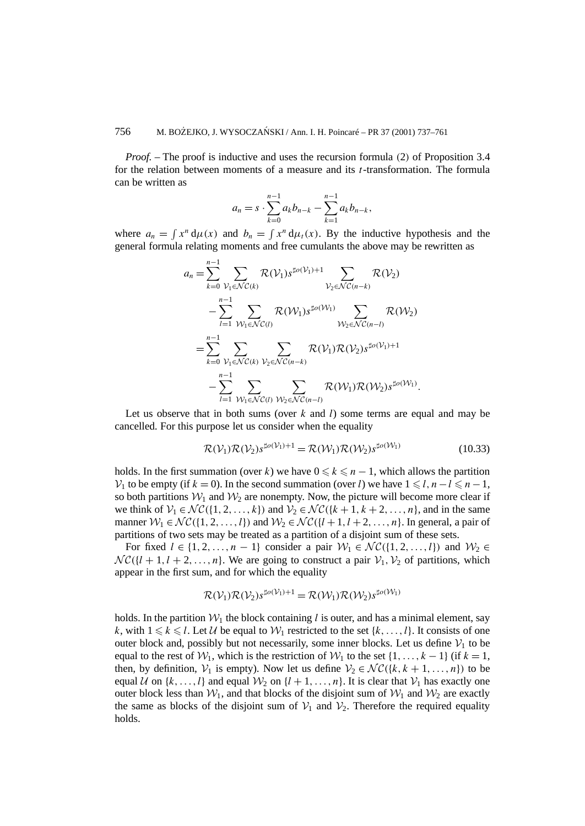*Proof. –* The proof is inductive and uses the recursion formula *(*2*)* of Proposition 3.4 for the relation between moments of a measure and its *t*-transformation. The formula can be written as

$$
a_n = s \cdot \sum_{k=0}^{n-1} a_k b_{n-k} - \sum_{k=1}^{n-1} a_k b_{n-k},
$$

where  $a_n = \int x^n d\mu(x)$  and  $b_n = \int x^n d\mu_t(x)$ . By the inductive hypothesis and the general formula relating moments and free cumulants the above may be rewritten as

$$
a_n = \sum_{k=0}^{n-1} \sum_{\mathcal{V}_1 \in \mathcal{NC}(k)} \mathcal{R}(\mathcal{V}_1) s^{\sharp o(\mathcal{V}_1)+1} \sum_{\mathcal{V}_2 \in \mathcal{NC}(n-k)} \mathcal{R}(\mathcal{V}_2)
$$
  

$$
- \sum_{l=1}^{n-1} \sum_{\mathcal{W}_1 \in \mathcal{NC}(l)} \mathcal{R}(\mathcal{W}_1) s^{\sharp o(\mathcal{W}_1)} \sum_{\mathcal{W}_2 \in \mathcal{NC}(n-l)} \mathcal{R}(\mathcal{W}_2)
$$
  

$$
= \sum_{k=0}^{n-1} \sum_{\mathcal{V}_1 \in \mathcal{NC}(k)} \sum_{\mathcal{V}_2 \in \mathcal{NC}(n-k)} \mathcal{R}(\mathcal{V}_1) \mathcal{R}(\mathcal{V}_2) s^{\sharp o(\mathcal{V}_1)+1}
$$
  

$$
- \sum_{l=1}^{n-1} \sum_{\mathcal{W}_1 \in \mathcal{NC}(l)} \sum_{\mathcal{W}_2 \in \mathcal{NC}(n-l)} \mathcal{R}(\mathcal{W}_1) \mathcal{R}(\mathcal{W}_2) s^{\sharp o(\mathcal{W}_1)}.
$$

Let us observe that in both sums (over *k* and *l*) some terms are equal and may be cancelled. For this purpose let us consider when the equality

$$
\mathcal{R}(\mathcal{V}_1)\mathcal{R}(\mathcal{V}_2)s^{\sharp o(\mathcal{V}_1)+1} = \mathcal{R}(\mathcal{W}_1)\mathcal{R}(\mathcal{W}_2)s^{\sharp o(\mathcal{W}_1)}
$$
(10.33)

holds. In the first summation (over *k*) we have  $0 \le k \le n - 1$ , which allows the partition  $V_1$  to be empty (if  $k = 0$ ). In the second summation (over *l*) we have  $1 \le l, n - l \le n - 1$ , so both partitions  $W_1$  and  $W_2$  are nonempty. Now, the picture will become more clear if we think of  $V_1 \in \mathcal{NC}(\{1, 2, ..., k\})$  and  $V_2 \in \mathcal{NC}(\{k+1, k+2, ..., n\})$ , and in the same manner  $W_1 \in \mathcal{NC}(\{1, 2, ..., l\})$  and  $W_2 \in \mathcal{NC}(\{l+1, l+2, ..., n\})$ . In general, a pair of partitions of two sets may be treated as a partition of a disjoint sum of these sets.

For fixed  $l \in \{1, 2, ..., n-1\}$  consider a pair  $W_1 \in \mathcal{NC}(\{1, 2, ..., l\})$  and  $W_2 \in$  $N\mathcal{C}(\{l + 1, l + 2, \ldots, n\})$ . We are going to construct a pair  $\mathcal{V}_1, \mathcal{V}_2$  of partitions, which appear in the first sum, and for which the equality

$$
\mathcal{R}(\mathcal{V}_1)\mathcal{R}(\mathcal{V}_2)s^{\sharp o(\mathcal{V}_1)+1}=\mathcal{R}(\mathcal{W}_1)\mathcal{R}(\mathcal{W}_2)s^{\sharp o(\mathcal{W}_1)}
$$

holds. In the partition  $W_1$  the block containing *l* is outer, and has a minimal element, say *k*, with  $1 \leq k \leq l$ . Let U be equal to  $W_1$  restricted to the set  $\{k, \ldots, l\}$ . It consists of one outer block and, possibly but not necessarily, some inner blocks. Let us define  $V_1$  to be equal to the rest of  $W_1$ , which is the restriction of  $W_1$  to the set  $\{1, \ldots, k-1\}$  (if  $k = 1$ , then, by definition,  $V_1$  is empty). Now let us define  $V_2 \in \mathcal{NC}(\{k, k+1, \ldots, n\})$  to be equal U on  $\{k, \ldots, l\}$  and equal  $\mathcal{W}_2$  on  $\{l + 1, \ldots, n\}$ . It is clear that  $\mathcal{V}_1$  has exactly one outer block less than  $W_1$ , and that blocks of the disjoint sum of  $W_1$  and  $W_2$  are exactly the same as blocks of the disjoint sum of  $V_1$  and  $V_2$ . Therefore the required equality holds.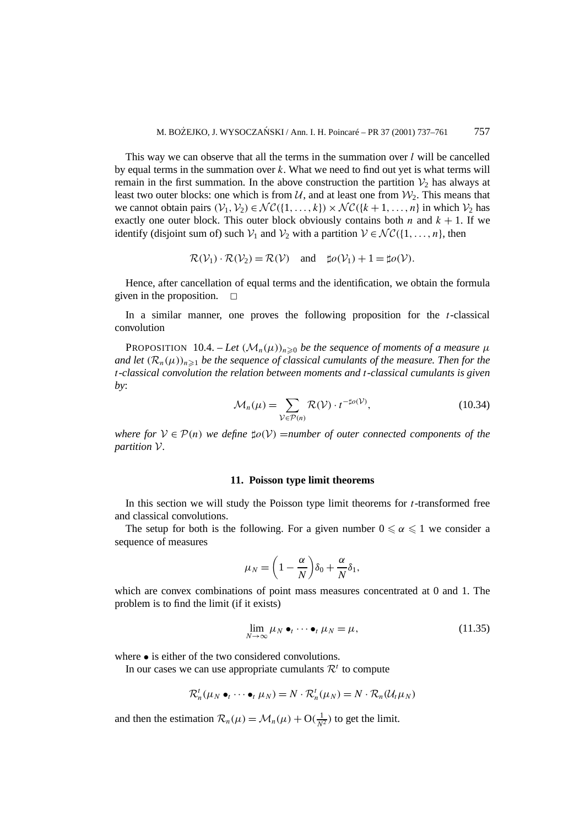This way we can observe that all the terms in the summation over *l* will be cancelled by equal terms in the summation over *k*. What we need to find out yet is what terms will remain in the first summation. In the above construction the partition  $\mathcal{V}_2$  has always at least two outer blocks: one which is from  $\mathcal{U}$ , and at least one from  $\mathcal{W}_2$ . This means that we cannot obtain pairs  $(V_1, V_2) \in \mathcal{NC}(\{1, \ldots, k\}) \times \mathcal{NC}(\{k+1, \ldots, n\})$  in which  $V_2$  has exactly one outer block. This outer block obviously contains both *n* and  $k + 1$ . If we identify (disjoint sum of) such  $V_1$  and  $V_2$  with a partition  $V \in \mathcal{NC}(\{1,\ldots,n\})$ , then

$$
\mathcal{R}(\mathcal{V}_1) \cdot \mathcal{R}(\mathcal{V}_2) = \mathcal{R}(\mathcal{V})
$$
 and  $\sharp o(\mathcal{V}_1) + 1 = \sharp o(\mathcal{V})$ .

Hence, after cancellation of equal terms and the identification, we obtain the formula given in the proposition.  $\Box$ 

In a similar manner, one proves the following proposition for the *t*-classical convolution

PROPOSITION 10.4. – Let  $(\mathcal{M}_n(\mu))_{n\geqslant0}$  be the sequence of moments of a measure  $\mu$ *and let*  $(R_n(\mu))_{n\geq 1}$  *be the sequence of classical cumulants of the measure. Then for the t-classical convolution the relation between moments and t-classical cumulants is given by*:

$$
\mathcal{M}_n(\mu) = \sum_{\mathcal{V} \in \mathcal{P}(n)} \mathcal{R}(\mathcal{V}) \cdot t^{-\sharp o(\mathcal{V})},\tag{10.34}
$$

*where for*  $V \in \mathcal{P}(n)$  *we define*  $\sharp o(V) =$ *number of outer connected components of the partition* V*.*

#### **11. Poisson type limit theorems**

In this section we will study the Poisson type limit theorems for *t*-transformed free and classical convolutions.

The setup for both is the following. For a given number  $0 \le \alpha \le 1$  we consider a sequence of measures

$$
\mu_N = \left(1 - \frac{\alpha}{N}\right)\delta_0 + \frac{\alpha}{N}\delta_1,
$$

which are convex combinations of point mass measures concentrated at 0 and 1. The problem is to find the limit (if it exists)

$$
\lim_{N \to \infty} \mu_N \bullet_t \cdots \bullet_t \mu_N = \mu,\tag{11.35}
$$

where • is either of the two considered convolutions.

In our cases we can use appropriate cumulants  $\mathcal{R}^t$  to compute

$$
\mathcal{R}_n^t(\mu_N \bullet_t \cdots \bullet_t \mu_N) = N \cdot \mathcal{R}_n^t(\mu_N) = N \cdot \mathcal{R}_n(\mathcal{U}_t \mu_N)
$$

and then the estimation  $\mathcal{R}_n(\mu) = \mathcal{M}_n(\mu) + O(\frac{1}{N^2})$  to get the limit.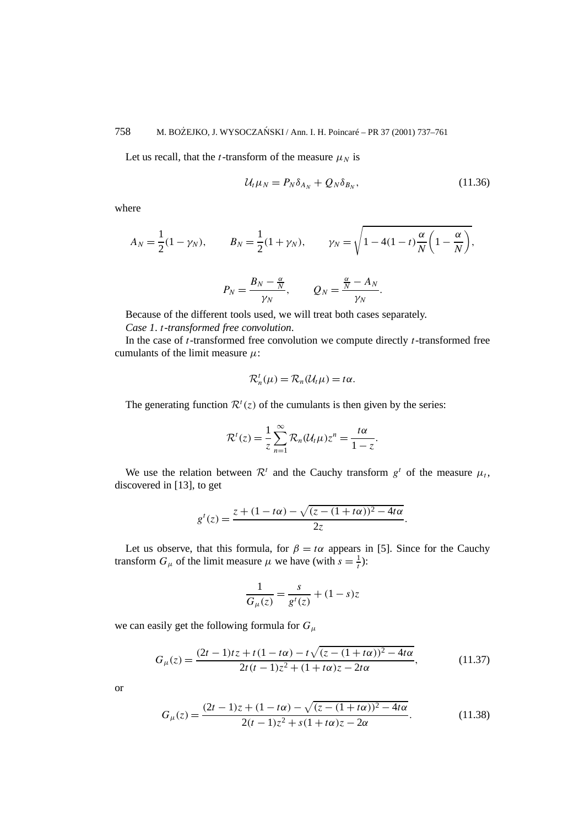Let us recall, that the *t*-transform of the measure  $\mu_N$  is

$$
\mathcal{U}_t \mu_N = P_N \delta_{A_N} + Q_N \delta_{B_N}, \qquad (11.36)
$$

*.*

where

$$
A_N = \frac{1}{2}(1 - \gamma_N),
$$
  $B_N = \frac{1}{2}(1 + \gamma_N),$   $\gamma_N = \sqrt{1 - 4(1 - t)\frac{\alpha}{N}\left(1 - \frac{\alpha}{N}\right)},$ 

$$
P_N = \frac{B_N - \frac{\alpha}{N}}{\gamma_N}, \qquad Q_N = \frac{\frac{\alpha}{N} - A_N}{\gamma_N}.
$$

Because of the different tools used, we will treat both cases separately.

*Case 1*. *t-transformed free convolution*.

In the case of *t*-transformed free convolution we compute directly *t*-transformed free cumulants of the limit measure *µ*:

$$
\mathcal{R}_n^t(\mu) = \mathcal{R}_n(\mathcal{U}_t\mu) = t\alpha.
$$

The generating function  $\mathcal{R}^t(z)$  of the cumulants is then given by the series:

$$
\mathcal{R}^{t}(z) = \frac{1}{z} \sum_{n=1}^{\infty} \mathcal{R}_{n}(\mathcal{U}_{t}\mu) z^{n} = \frac{t\alpha}{1-z}
$$

We use the relation between  $\mathcal{R}^t$  and the Cauchy transform  $g^t$  of the measure  $\mu_t$ , discovered in [13], to get

$$
g^{t}(z) = \frac{z + (1 - t\alpha) - \sqrt{(z - (1 + t\alpha))^{2} - 4t\alpha}}{2z}.
$$

Let us observe, that this formula, for  $\beta = t\alpha$  appears in [5]. Since for the Cauchy transform  $G_{\mu}$  of the limit measure  $\mu$  we have (with  $s = \frac{1}{t}$ ):

$$
\frac{1}{G_{\mu}(z)} = \frac{s}{g^t(z)} + (1-s)z
$$

we can easily get the following formula for *Gµ*

$$
G_{\mu}(z) = \frac{(2t - 1)tz + t(1 - t\alpha) - t\sqrt{(z - (1 + t\alpha))^{2} - 4t\alpha}}{2t(t - 1)z^{2} + (1 + t\alpha)z - 2t\alpha},
$$
\n(11.37)

or

$$
G_{\mu}(z) = \frac{(2t - 1)z + (1 - t\alpha) - \sqrt{(z - (1 + t\alpha))^{2} - 4t\alpha}}{2(t - 1)z^{2} + s(1 + t\alpha)z - 2\alpha}.
$$
 (11.38)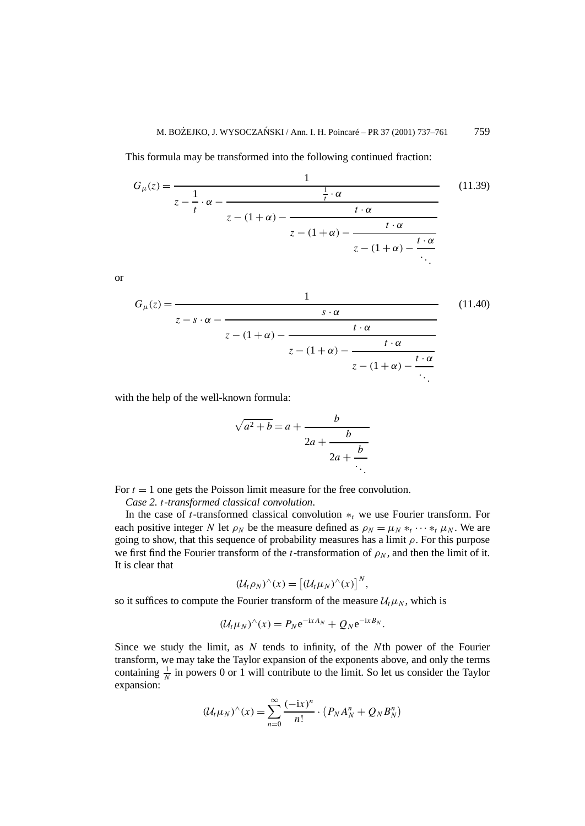This formula may be transformed into the following continued fraction:

$$
G_{\mu}(z) = \frac{1}{z - \frac{1}{t} \cdot \alpha - \frac{\frac{1}{t} \cdot \alpha}{z - (1 + \alpha) - \frac{t \cdot \alpha}{z - (1 + \alpha) - \frac{t \cdot \alpha}{z - (1 + \alpha) - \frac{t \cdot \alpha}{z - (1 + \alpha) - \frac{t \cdot \alpha}{z - (1 + \alpha) - \frac{t \cdot \alpha}{z - (1 + \alpha) - \frac{t \cdot \alpha}{z - (1 + \alpha) - \frac{t \cdot \alpha}{z - (1 + \alpha) - \frac{t \cdot \alpha}{z - (1 + \alpha) - \frac{t \cdot \alpha}{z - (1 + \alpha) - \frac{t \cdot \alpha}{z - (1 + \alpha) - \frac{t \cdot \alpha}{z - (1 + \alpha) - \frac{t \cdot \alpha}{z - (1 + \alpha) - \frac{t \cdot \alpha}{z - (1 + \alpha) - \frac{t \cdot \alpha}{z - (1 + \alpha) - \frac{t \cdot \alpha}{z - (1 + \alpha) - \frac{t \cdot \alpha}{z - (1 + \alpha) - \frac{t \cdot \alpha}{z - (1 + \alpha) - \frac{t \cdot \alpha}{z - (1 + \alpha) - \frac{t \cdot \alpha}{z - (1 + \alpha) - \frac{t \cdot \alpha}{z - (1 + \alpha) - \frac{t \cdot \alpha}{z - (1 + \alpha) - \frac{t \cdot \alpha}{z - (1 + \alpha) - \frac{t \cdot \alpha}{z - (1 + \alpha) - \frac{t \cdot \alpha}{z - (1 + \alpha) - \frac{t \cdot \alpha}{z - (1 + \alpha) - \frac{t \cdot \alpha}{z - (1 + \alpha) - \frac{t \cdot \alpha}{z - (1 + \alpha) - \frac{t \cdot \alpha}{z - (1 + \alpha) - \frac{t \cdot \alpha}{z - (1 + \alpha) - \frac{t \cdot \alpha}{z - (1 + \alpha) - \frac{t \cdot \alpha}{z - (1 + \alpha) - \frac{t \cdot \alpha}{z - (1 + \alpha) - \frac{t \cdot \alpha}{z - (1 + \alpha) - \frac{t \cdot \alpha}{z - (1 + \alpha) - \frac{t \cdot \alpha}{z - (1 + \alpha) - \frac{t \cdot \alpha}{z - (1 + \alpha) - \frac{t \cdot \alpha}{z - (1 + \alpha) - \frac{t \cdot \alpha}{z - (1 + \alpha) - \frac{t \cdot \alpha}{z - (1 + \alpha) - \frac{t \cdot \
$$

or

$$
G_{\mu}(z) = \frac{1}{z - s \cdot \alpha - \frac{s \cdot \alpha}{z - (1 + \alpha) - \frac{t \cdot \alpha}{z - (1 + \alpha) - \frac{t \cdot \alpha}{z - (1 + \alpha) - \frac{t \cdot \alpha}{\ddots}}}}}
$$
(11.40)

with the help of the well-known formula:

$$
\sqrt{a^2 + b} = a + \cfrac{b}{2a + \cfrac{b}{2a + \cfrac{b}{\ddots}}}
$$

For  $t = 1$  one gets the Poisson limit measure for the free convolution.

*Case 2. t-transformed classical convolution*.

In the case of *t*-transformed classical convolution ∗*<sup>t</sup>* we use Fourier transform. For each positive integer *N* let  $\rho_N$  be the measure defined as  $\rho_N = \mu_N *_{t'} \cdots *_{t} \mu_N$ . We are going to show, that this sequence of probability measures has a limit *ρ*. For this purpose we first find the Fourier transform of the *t*-transformation of  $\rho_N$ , and then the limit of it. It is clear that

$$
(\mathcal{U}_t \rho_N)^\wedge(x) = [\left(\mathcal{U}_t \mu_N)^\wedge(x)\right]^N,
$$

so it suffices to compute the Fourier transform of the measure  $\mathcal{U}_t \mu_N$ , which is

$$
(\mathcal{U}_t\mu_N)^\wedge(x)=P_N\mathrm{e}^{-\mathrm{i} xA_N}+Q_N\mathrm{e}^{-\mathrm{i} xB_N}.
$$

Since we study the limit, as *N* tends to infinity, of the *N*th power of the Fourier transform, we may take the Taylor expansion of the exponents above, and only the terms containing  $\frac{1}{N}$  in powers 0 or 1 will contribute to the limit. So let us consider the Taylor expansion:

$$
(\mathcal{U}_t \mu_N)^\wedge(x) = \sum_{n=0}^\infty \frac{(-ix)^n}{n!} \cdot (P_N A_N^n + Q_N B_N^n)
$$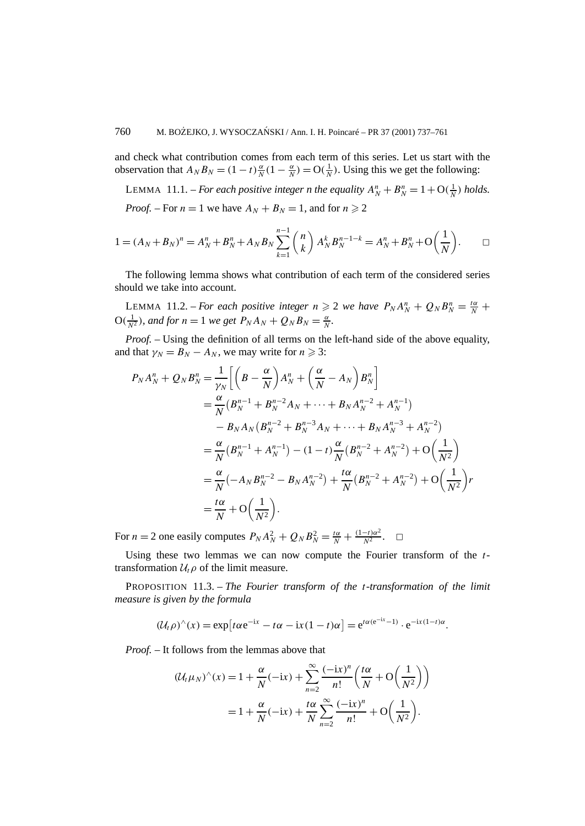and check what contribution comes from each term of this series. Let us start with the observation that  $A_N B_N = (1 - t) \frac{\alpha}{N} (1 - \frac{\alpha}{N}) = O(\frac{1}{N})$ . Using this we get the following:

LEMMA 11.1. – *For each positive integer n the equality*  $A_N^n + B_N^n = 1 + O(\frac{1}{N})$  *holds. Proof.* – For  $n = 1$  we have  $A_N + B_N = 1$ , and for  $n \ge 2$ 

$$
1 = (A_N + B_N)^n = A_N^n + B_N^n + A_N B_N \sum_{k=1}^{n-1} {n \choose k} A_N^k B_N^{n-1-k} = A_N^n + B_N^n + O\left(\frac{1}{N}\right).
$$

The following lemma shows what contribution of each term of the considered series should we take into account.

LEMMA 11.2. – *For each positive integer*  $n \ge 2$  *we have*  $P_N A_N^n + Q_N B_N^n = \frac{t\alpha}{N} +$  $O(\frac{1}{N^2})$ *, and for*  $n = 1$  *we get*  $P_N A_N + Q_N B_N = \frac{\alpha}{N}$ *.* 

*Proof. –* Using the definition of all terms on the left-hand side of the above equality, and that  $\gamma_N = B_N - A_N$ , we may write for  $n \geq 3$ :

$$
P_N A_N^n + Q_N B_N^n = \frac{1}{\gamma_N} \Big[ \Big( B - \frac{\alpha}{N} \Big) A_N^n + \Big( \frac{\alpha}{N} - A_N \Big) B_N^n \Big]
$$
  
=  $\frac{\alpha}{N} (B_N^{n-1} + B_N^{n-2} A_N + \dots + B_N A_N^{n-2} + A_N^{n-1})$   
 $- B_N A_N (B_N^{n-2} + B_N^{n-3} A_N + \dots + B_N A_N^{n-3} + A_N^{n-2})$   
=  $\frac{\alpha}{N} (B_N^{n-1} + A_N^{n-1}) - (1 - t) \frac{\alpha}{N} (B_N^{n-2} + A_N^{n-2}) + O\Big( \frac{1}{N^2} \Big)$   
=  $\frac{\alpha}{N} (-A_N B_N^{n-2} - B_N A_N^{n-2}) + \frac{t\alpha}{N} (B_N^{n-2} + A_N^{n-2}) + O\Big( \frac{1}{N^2} \Big) r$   
=  $\frac{t\alpha}{N} + O\Big( \frac{1}{N^2} \Big).$ 

For  $n = 2$  one easily computes  $P_N A_N^2 + Q_N B_N^2 = \frac{t\alpha}{N} + \frac{(1-t)\alpha^2}{N^2}$ .  $\Box$ 

Using these two lemmas we can now compute the Fourier transform of the *t*transformation  $U_t \rho$  of the limit measure.

PROPOSITION 11.3. – *The Fourier transform of the t-transformation of the limit measure is given by the formula*

$$
(\mathcal{U}_t \rho)^\wedge(x) = \exp\left[t\alpha e^{-ix} - t\alpha - ix(1-t)\alpha\right] = e^{t\alpha(e^{-ix}-1)} \cdot e^{-ix(1-t)\alpha}.
$$

*Proof. –* It follows from the lemmas above that

$$
\begin{aligned} \left(\mathcal{U}_t \mu_N\right)^\wedge(x) &= 1 + \frac{\alpha}{N}(-ix) + \sum_{n=2}^\infty \frac{(-ix)^n}{n!} \left(\frac{t\alpha}{N} + \mathcal{O}\left(\frac{1}{N^2}\right)\right) \\ &= 1 + \frac{\alpha}{N}(-ix) + \frac{t\alpha}{N} \sum_{n=2}^\infty \frac{(-ix)^n}{n!} + \mathcal{O}\left(\frac{1}{N^2}\right). \end{aligned}
$$